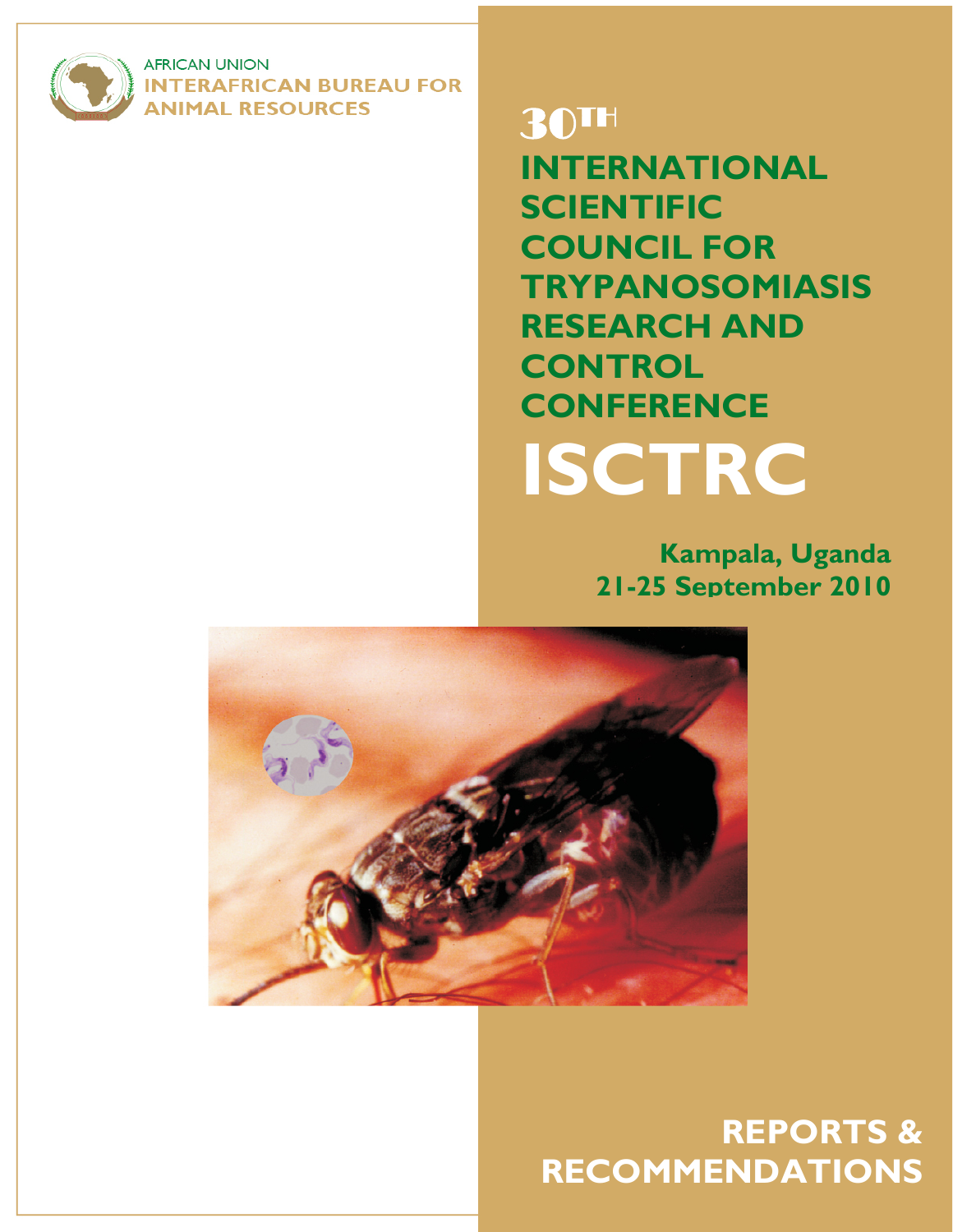

**AFRICAN UNION INTERAFRICAN BUREAU FOR NIMAL RESOURCES** 

# 30TH

**INTERNATIONAL SCIENTIFIC COUNCIL FOR TRYPANOSOMIASIS RESEARCH AND CONTROL CONFERENCE ISCTRC**

> **Kampala, Uganda 21-25 September 2010**



1

**REPORTS & RECOMMENDATIONS**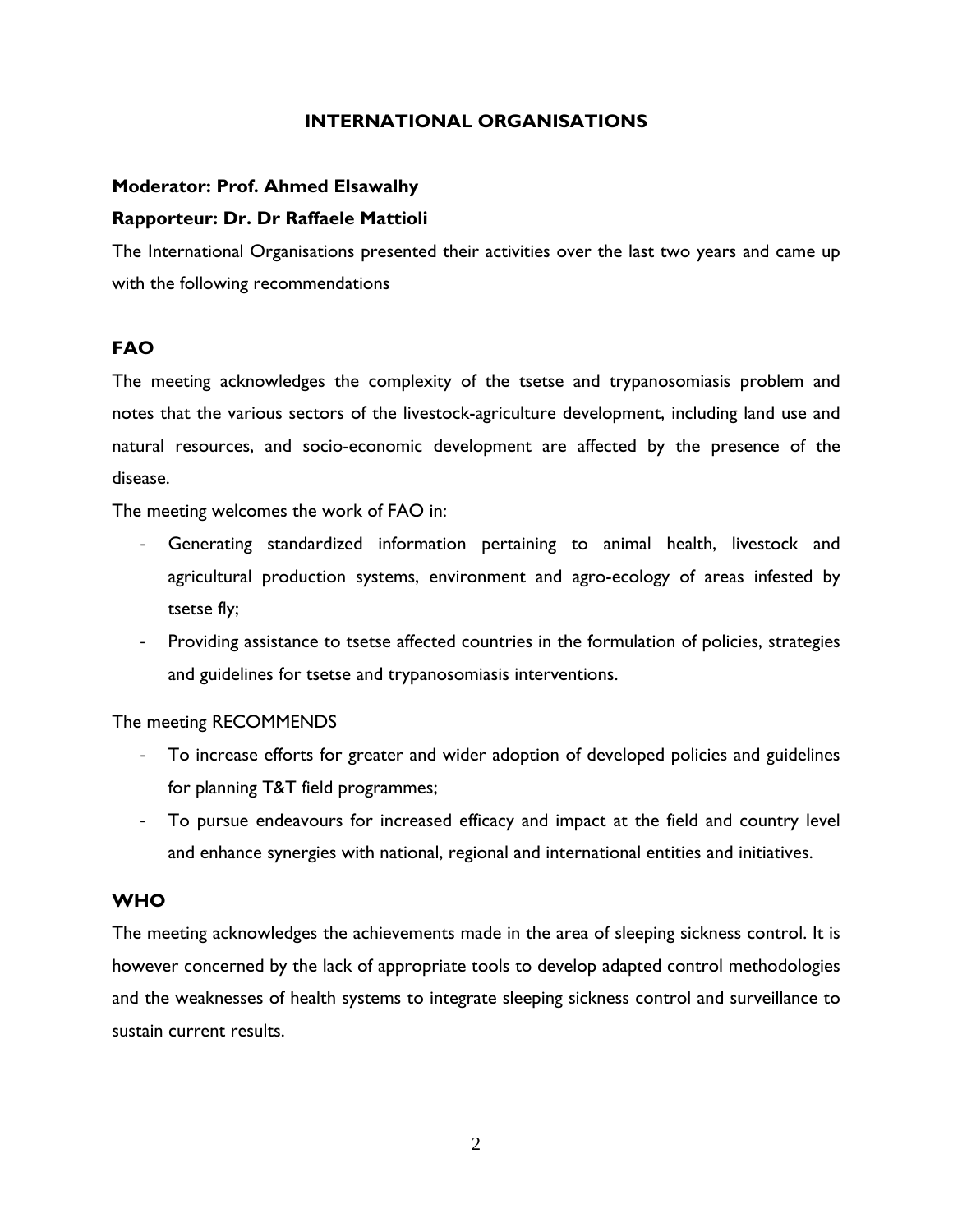# **INTERNATIONAL ORGANISATIONS**

# **Moderator: Prof. Ahmed Elsawalhy**

## **Rapporteur: Dr. Dr Raffaele Mattioli**

The International Organisations presented their activities over the last two years and came up with the following recommendations

# **FAO**

The meeting acknowledges the complexity of the tsetse and trypanosomiasis problem and notes that the various sectors of the livestock-agriculture development, including land use and natural resources, and socio-economic development are affected by the presence of the disease.

The meeting welcomes the work of FAO in:

- ‐ Generating standardized information pertaining to animal health, livestock and agricultural production systems, environment and agro-ecology of areas infested by tsetse fly;
- ‐ Providing assistance to tsetse affected countries in the formulation of policies, strategies and guidelines for tsetse and trypanosomiasis interventions.

## The meeting RECOMMENDS

- ‐ To increase efforts for greater and wider adoption of developed policies and guidelines for planning T&T field programmes;
- To pursue endeavours for increased efficacy and impact at the field and country level and enhance synergies with national, regional and international entities and initiatives.

# **WHO**

The meeting acknowledges the achievements made in the area of sleeping sickness control. It is however concerned by the lack of appropriate tools to develop adapted control methodologies and the weaknesses of health systems to integrate sleeping sickness control and surveillance to sustain current results.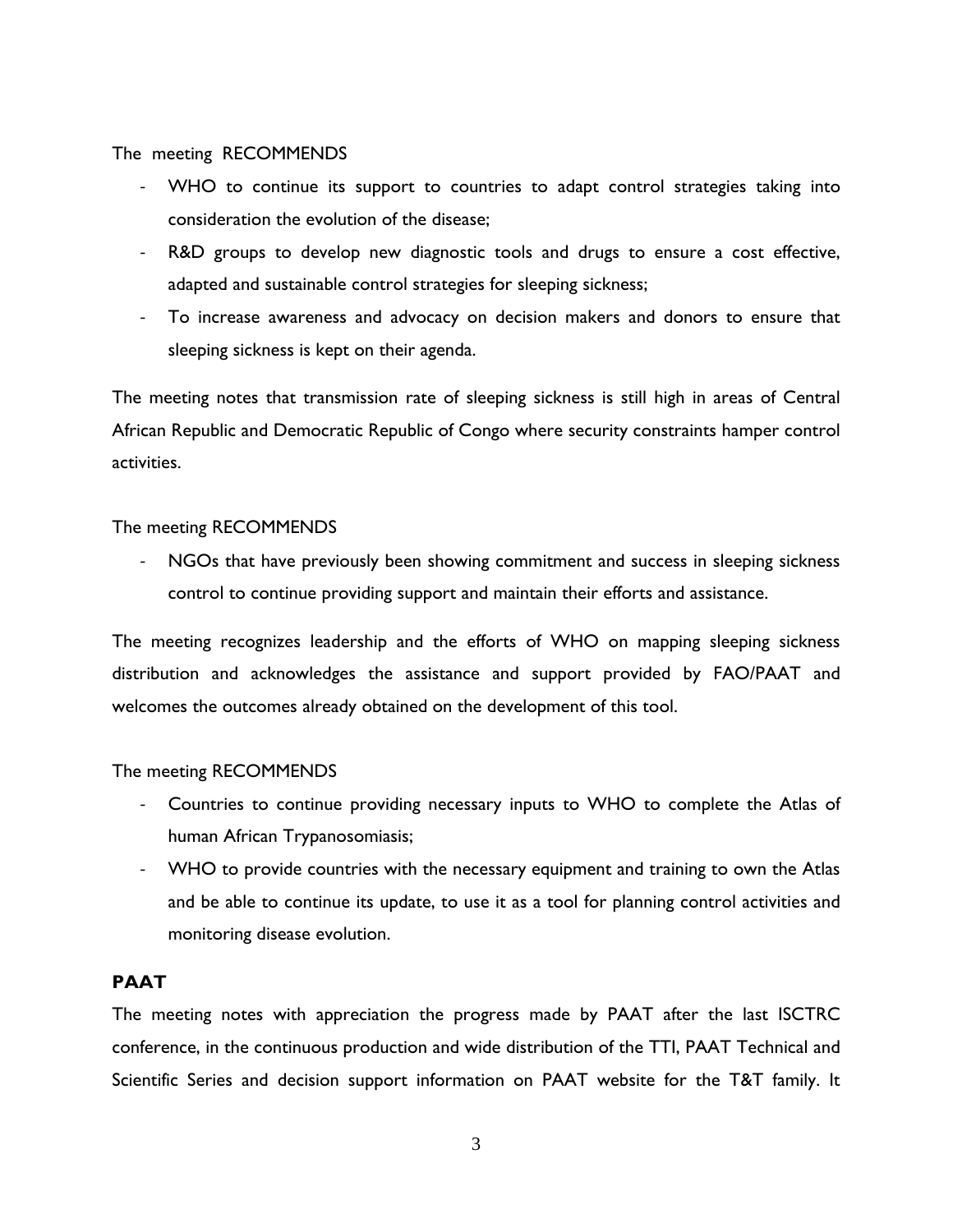## The meeting RECOMMENDS

- ‐ WHO to continue its support to countries to adapt control strategies taking into consideration the evolution of the disease;
- ‐ R&D groups to develop new diagnostic tools and drugs to ensure a cost effective, adapted and sustainable control strategies for sleeping sickness;
- ‐ To increase awareness and advocacy on decision makers and donors to ensure that sleeping sickness is kept on their agenda.

The meeting notes that transmission rate of sleeping sickness is still high in areas of Central African Republic and Democratic Republic of Congo where security constraints hamper control activities.

## The meeting RECOMMENDS

‐ NGOs that have previously been showing commitment and success in sleeping sickness control to continue providing support and maintain their efforts and assistance.

The meeting recognizes leadership and the efforts of WHO on mapping sleeping sickness distribution and acknowledges the assistance and support provided by FAO/PAAT and welcomes the outcomes already obtained on the development of this tool.

## The meeting RECOMMENDS

- ‐ Countries to continue providing necessary inputs to WHO to complete the Atlas of human African Trypanosomiasis;
- ‐ WHO to provide countries with the necessary equipment and training to own the Atlas and be able to continue its update, to use it as a tool for planning control activities and monitoring disease evolution.

## **PAAT**

The meeting notes with appreciation the progress made by PAAT after the last ISCTRC conference, in the continuous production and wide distribution of the TTI, PAAT Technical and Scientific Series and decision support information on PAAT website for the T&T family. It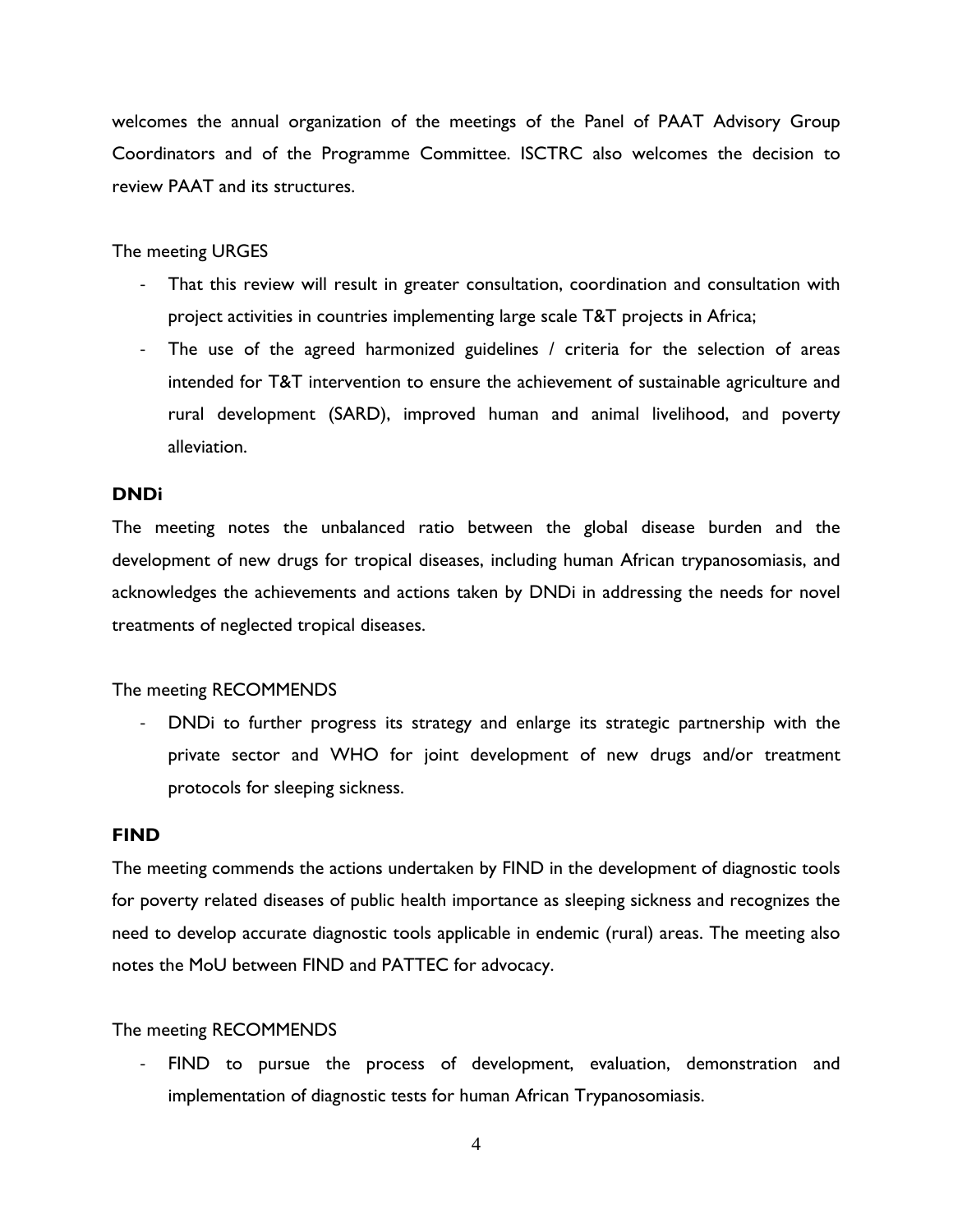welcomes the annual organization of the meetings of the Panel of PAAT Advisory Group Coordinators and of the Programme Committee. ISCTRC also welcomes the decision to review PAAT and its structures.

## The meeting URGES

- That this review will result in greater consultation, coordination and consultation with project activities in countries implementing large scale T&T projects in Africa;
- ‐ The use of the agreed harmonized guidelines / criteria for the selection of areas intended for T&T intervention to ensure the achievement of sustainable agriculture and rural development (SARD), improved human and animal livelihood, and poverty alleviation.

## **DNDi**

The meeting notes the unbalanced ratio between the global disease burden and the development of new drugs for tropical diseases, including human African trypanosomiasis, and acknowledges the achievements and actions taken by DNDi in addressing the needs for novel treatments of neglected tropical diseases.

## The meeting RECOMMENDS

‐ DNDi to further progress its strategy and enlarge its strategic partnership with the private sector and WHO for joint development of new drugs and/or treatment protocols for sleeping sickness.

## **FIND**

The meeting commends the actions undertaken by FIND in the development of diagnostic tools for poverty related diseases of public health importance as sleeping sickness and recognizes the need to develop accurate diagnostic tools applicable in endemic (rural) areas. The meeting also notes the MoU between FIND and PATTEC for advocacy.

## The meeting RECOMMENDS

FIND to pursue the process of development, evaluation, demonstration and implementation of diagnostic tests for human African Trypanosomiasis.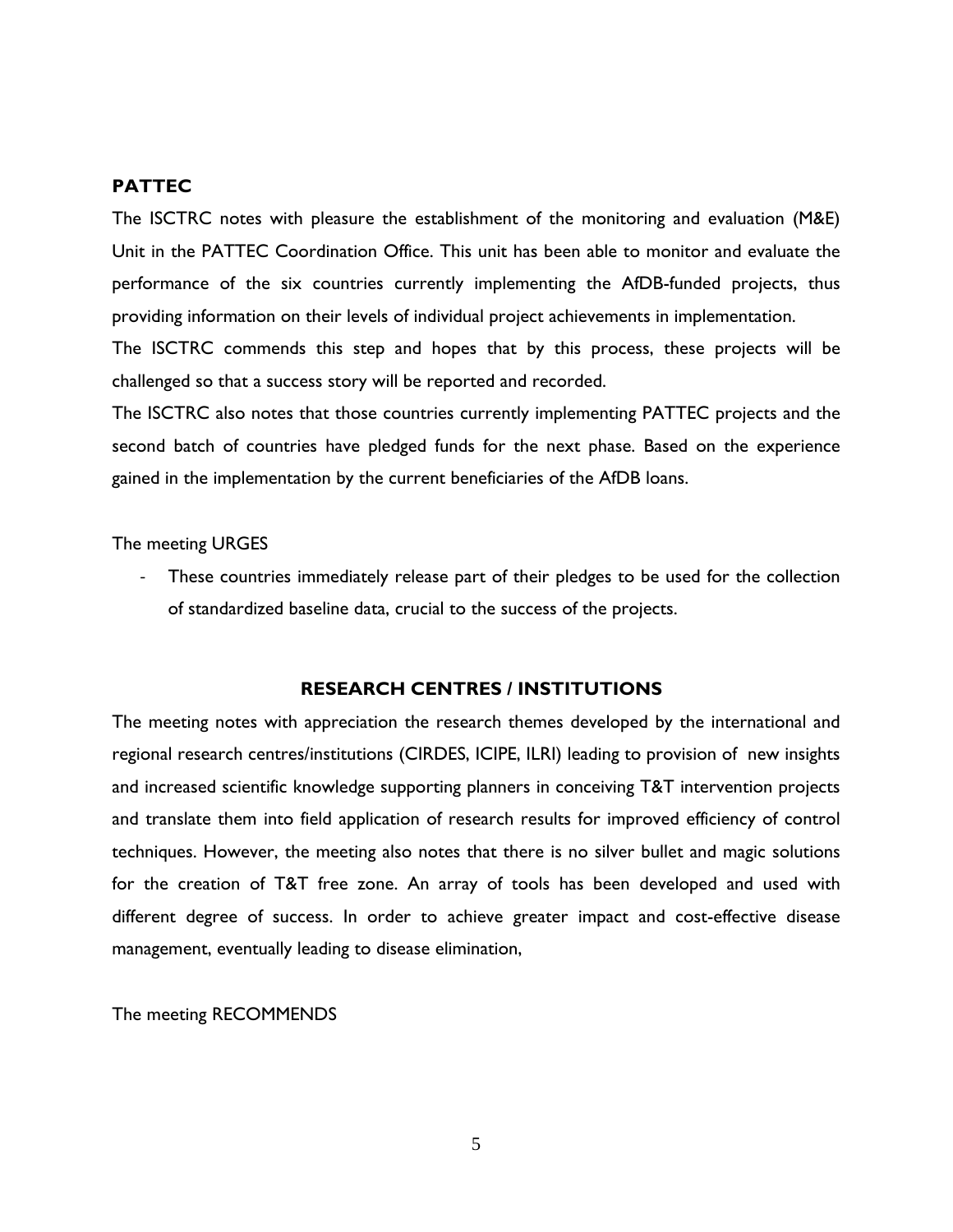## **PATTEC**

The ISCTRC notes with pleasure the establishment of the monitoring and evaluation (M&E) Unit in the PATTEC Coordination Office. This unit has been able to monitor and evaluate the performance of the six countries currently implementing the AfDB-funded projects, thus providing information on their levels of individual project achievements in implementation.

The ISCTRC commends this step and hopes that by this process, these projects will be challenged so that a success story will be reported and recorded.

The ISCTRC also notes that those countries currently implementing PATTEC projects and the second batch of countries have pledged funds for the next phase. Based on the experience gained in the implementation by the current beneficiaries of the AfDB loans.

#### The meeting URGES

These countries immediately release part of their pledges to be used for the collection of standardized baseline data, crucial to the success of the projects.

## **RESEARCH CENTRES / INSTITUTIONS**

The meeting notes with appreciation the research themes developed by the international and regional research centres/institutions (CIRDES, ICIPE, ILRI) leading to provision of new insights and increased scientific knowledge supporting planners in conceiving T&T intervention projects and translate them into field application of research results for improved efficiency of control techniques. However, the meeting also notes that there is no silver bullet and magic solutions for the creation of T&T free zone. An array of tools has been developed and used with different degree of success. In order to achieve greater impact and cost-effective disease management, eventually leading to disease elimination,

The meeting RECOMMENDS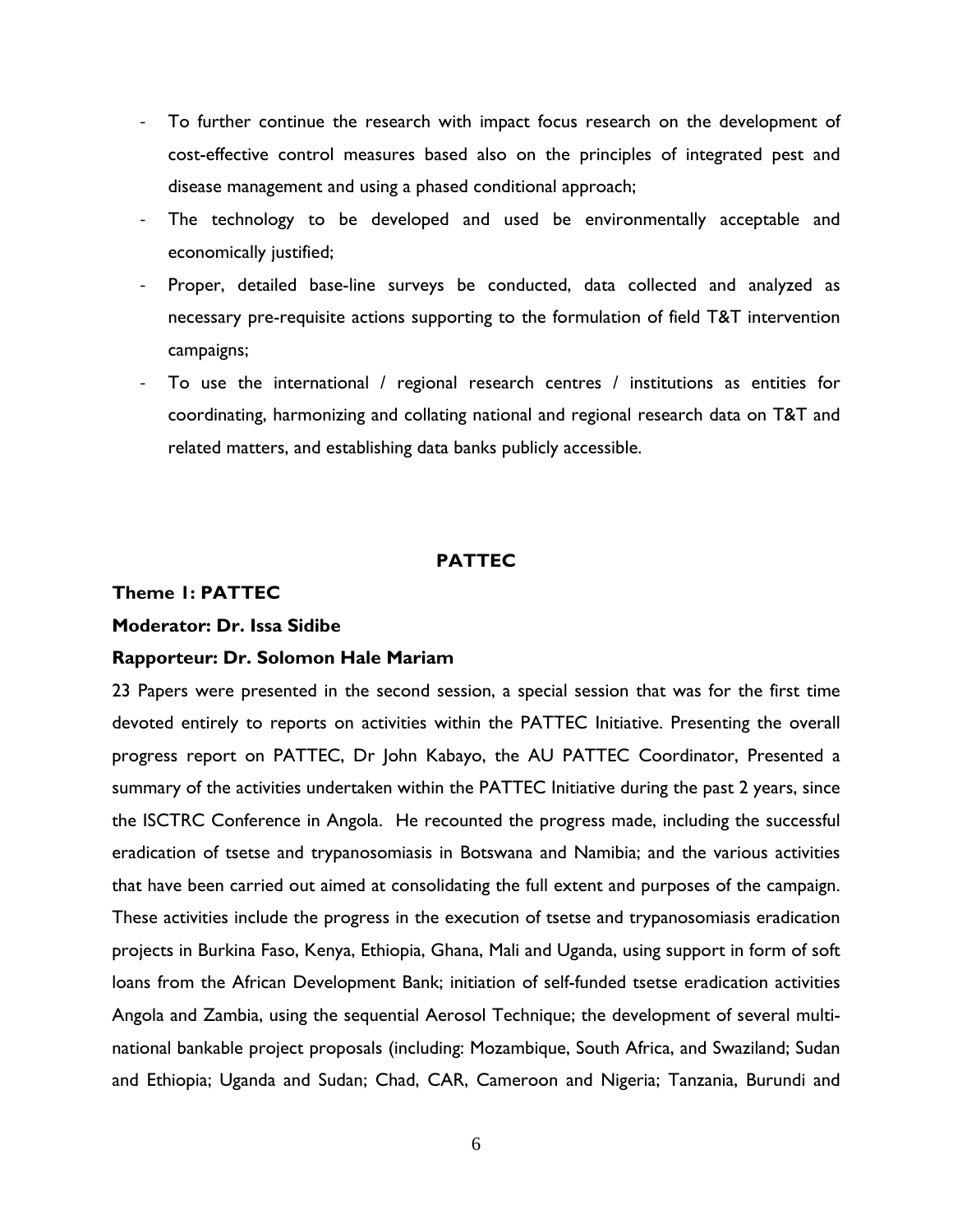- ‐ To further continue the research with impact focus research on the development of cost-effective control measures based also on the principles of integrated pest and disease management and using a phased conditional approach;
- ‐ The technology to be developed and used be environmentally acceptable and economically justified;
- ‐ Proper, detailed base-line surveys be conducted, data collected and analyzed as necessary pre-requisite actions supporting to the formulation of field T&T intervention campaigns;
- ‐ To use the international / regional research centres / institutions as entities for coordinating, harmonizing and collating national and regional research data on T&T and related matters, and establishing data banks publicly accessible.

## **PATTEC**

## **Theme 1: PATTEC**

#### **Moderator: Dr. Issa Sidibe**

#### **Rapporteur: Dr. Solomon Hale Mariam**

23 Papers were presented in the second session, a special session that was for the first time devoted entirely to reports on activities within the PATTEC Initiative. Presenting the overall progress report on PATTEC, Dr John Kabayo, the AU PATTEC Coordinator, Presented a summary of the activities undertaken within the PATTEC Initiative during the past 2 years, since the ISCTRC Conference in Angola. He recounted the progress made, including the successful eradication of tsetse and trypanosomiasis in Botswana and Namibia; and the various activities that have been carried out aimed at consolidating the full extent and purposes of the campaign. These activities include the progress in the execution of tsetse and trypanosomiasis eradication projects in Burkina Faso, Kenya, Ethiopia, Ghana, Mali and Uganda, using support in form of soft loans from the African Development Bank; initiation of self-funded tsetse eradication activities Angola and Zambia, using the sequential Aerosol Technique; the development of several multinational bankable project proposals (including: Mozambique, South Africa, and Swaziland; Sudan and Ethiopia; Uganda and Sudan; Chad, CAR, Cameroon and Nigeria; Tanzania, Burundi and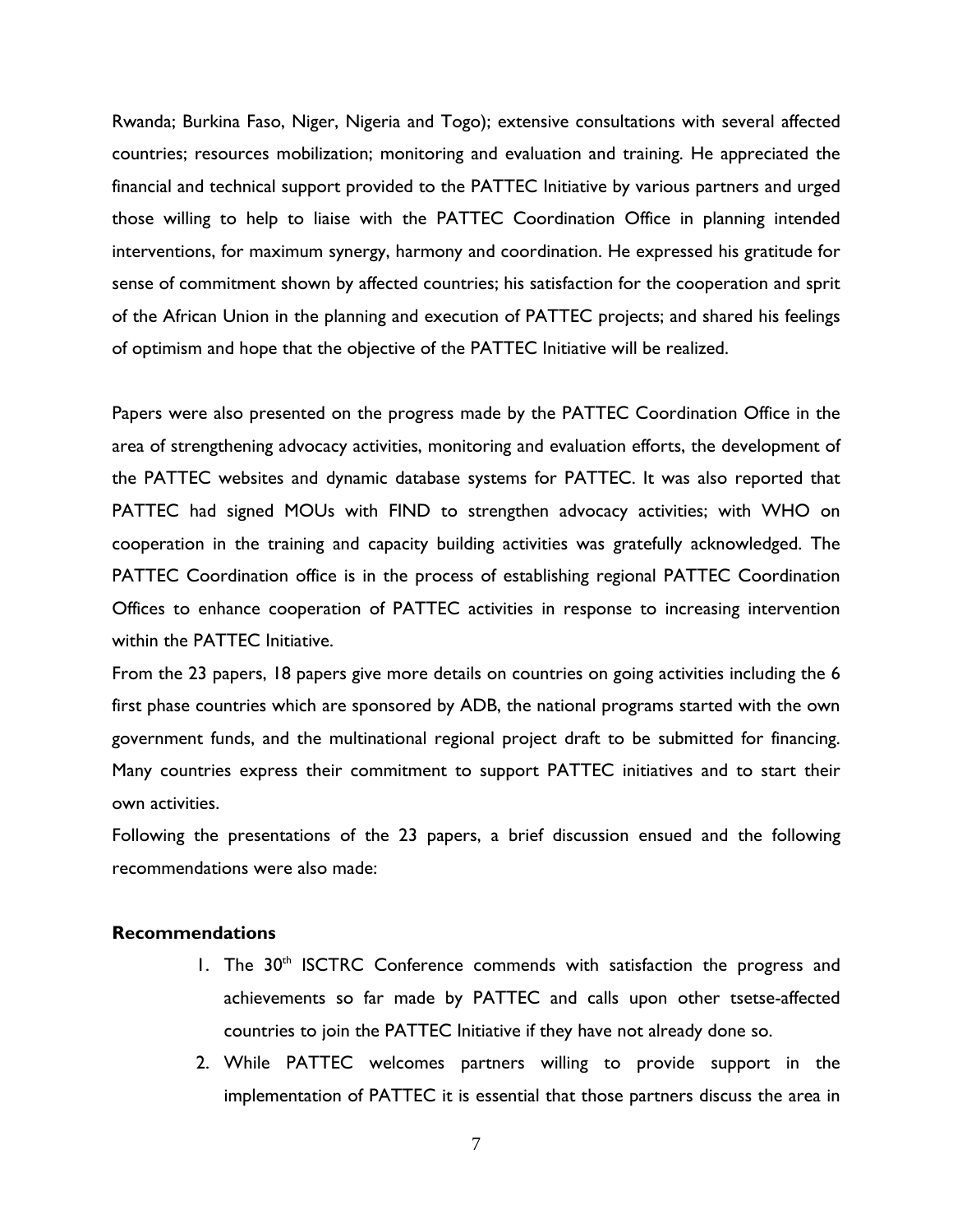Rwanda; Burkina Faso, Niger, Nigeria and Togo); extensive consultations with several affected countries; resources mobilization; monitoring and evaluation and training. He appreciated the financial and technical support provided to the PATTEC Initiative by various partners and urged those willing to help to liaise with the PATTEC Coordination Office in planning intended interventions, for maximum synergy, harmony and coordination. He expressed his gratitude for sense of commitment shown by affected countries; his satisfaction for the cooperation and sprit of the African Union in the planning and execution of PATTEC projects; and shared his feelings of optimism and hope that the objective of the PATTEC Initiative will be realized.

Papers were also presented on the progress made by the PATTEC Coordination Office in the area of strengthening advocacy activities, monitoring and evaluation efforts, the development of the PATTEC websites and dynamic database systems for PATTEC. It was also reported that PATTEC had signed MOUs with FIND to strengthen advocacy activities; with WHO on cooperation in the training and capacity building activities was gratefully acknowledged. The PATTEC Coordination office is in the process of establishing regional PATTEC Coordination Offices to enhance cooperation of PATTEC activities in response to increasing intervention within the PATTEC Initiative.

From the 23 papers, 18 papers give more details on countries on going activities including the 6 first phase countries which are sponsored by ADB, the national programs started with the own government funds, and the multinational regional project draft to be submitted for financing. Many countries express their commitment to support PATTEC initiatives and to start their own activities.

Following the presentations of the 23 papers, a brief discussion ensued and the following recommendations were also made:

#### **Recommendations**

- 1. The 30<sup>th</sup> ISCTRC Conference commends with satisfaction the progress and achievements so far made by PATTEC and calls upon other tsetse-affected countries to join the PATTEC Initiative if they have not already done so.
- 2. While PATTEC welcomes partners willing to provide support in the implementation of PATTEC it is essential that those partners discuss the area in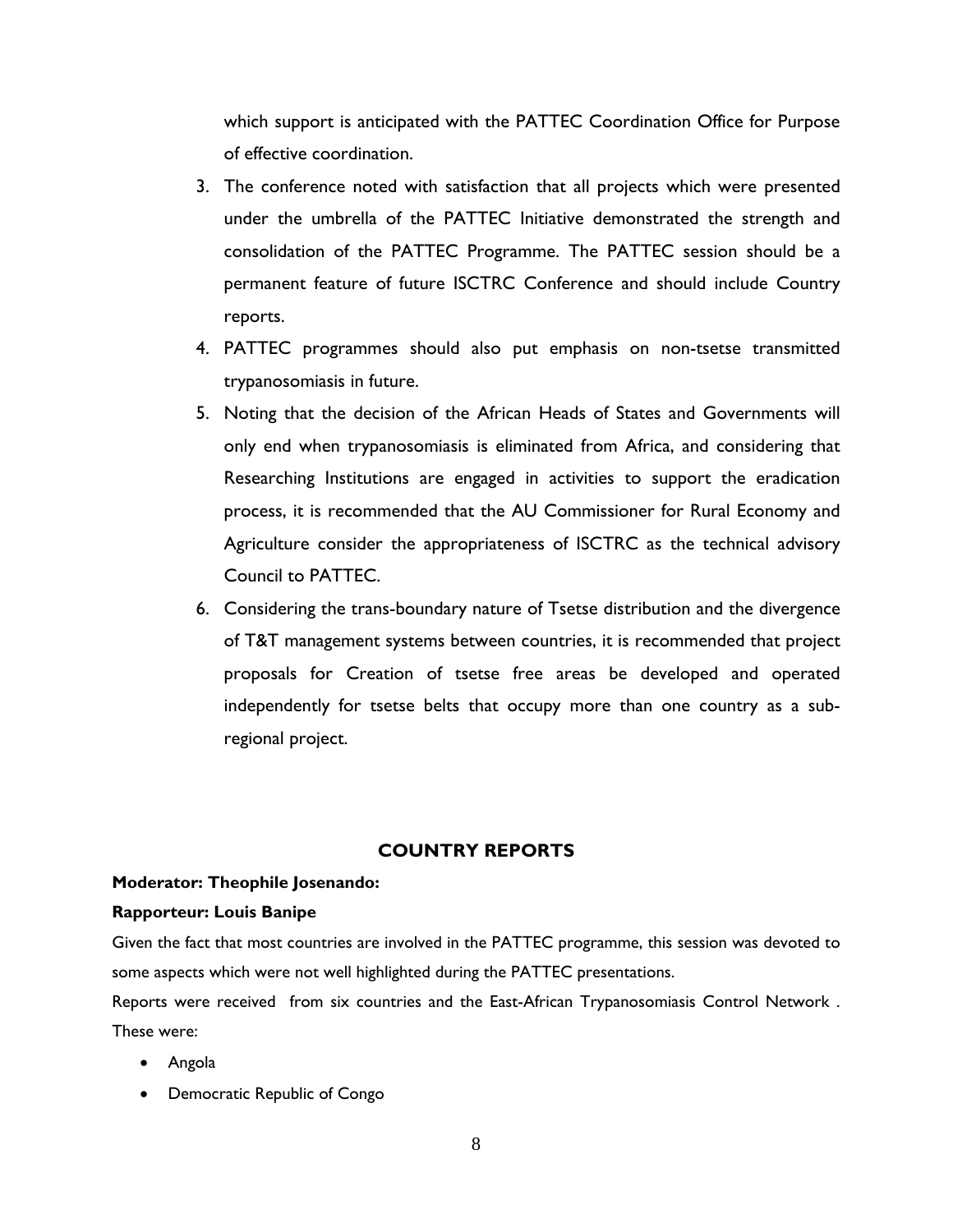which support is anticipated with the PATTEC Coordination Office for Purpose of effective coordination.

- 3. The conference noted with satisfaction that all projects which were presented under the umbrella of the PATTEC Initiative demonstrated the strength and consolidation of the PATTEC Programme. The PATTEC session should be a permanent feature of future ISCTRC Conference and should include Country reports.
- 4. PATTEC programmes should also put emphasis on non-tsetse transmitted trypanosomiasis in future.
- 5. Noting that the decision of the African Heads of States and Governments will only end when trypanosomiasis is eliminated from Africa, and considering that Researching Institutions are engaged in activities to support the eradication process, it is recommended that the AU Commissioner for Rural Economy and Agriculture consider the appropriateness of ISCTRC as the technical advisory Council to PATTEC.
- 6. Considering the trans-boundary nature of Tsetse distribution and the divergence of T&T management systems between countries, it is recommended that project proposals for Creation of tsetse free areas be developed and operated independently for tsetse belts that occupy more than one country as a subregional project.

## **COUNTRY REPORTS**

#### **Moderator: Theophile Josenando:**

#### **Rapporteur: Louis Banipe**

Given the fact that most countries are involved in the PATTEC programme, this session was devoted to some aspects which were not well highlighted during the PATTEC presentations.

Reports were received from six countries and the East-African Trypanosomiasis Control Network . These were:

- Angola
- Democratic Republic of Congo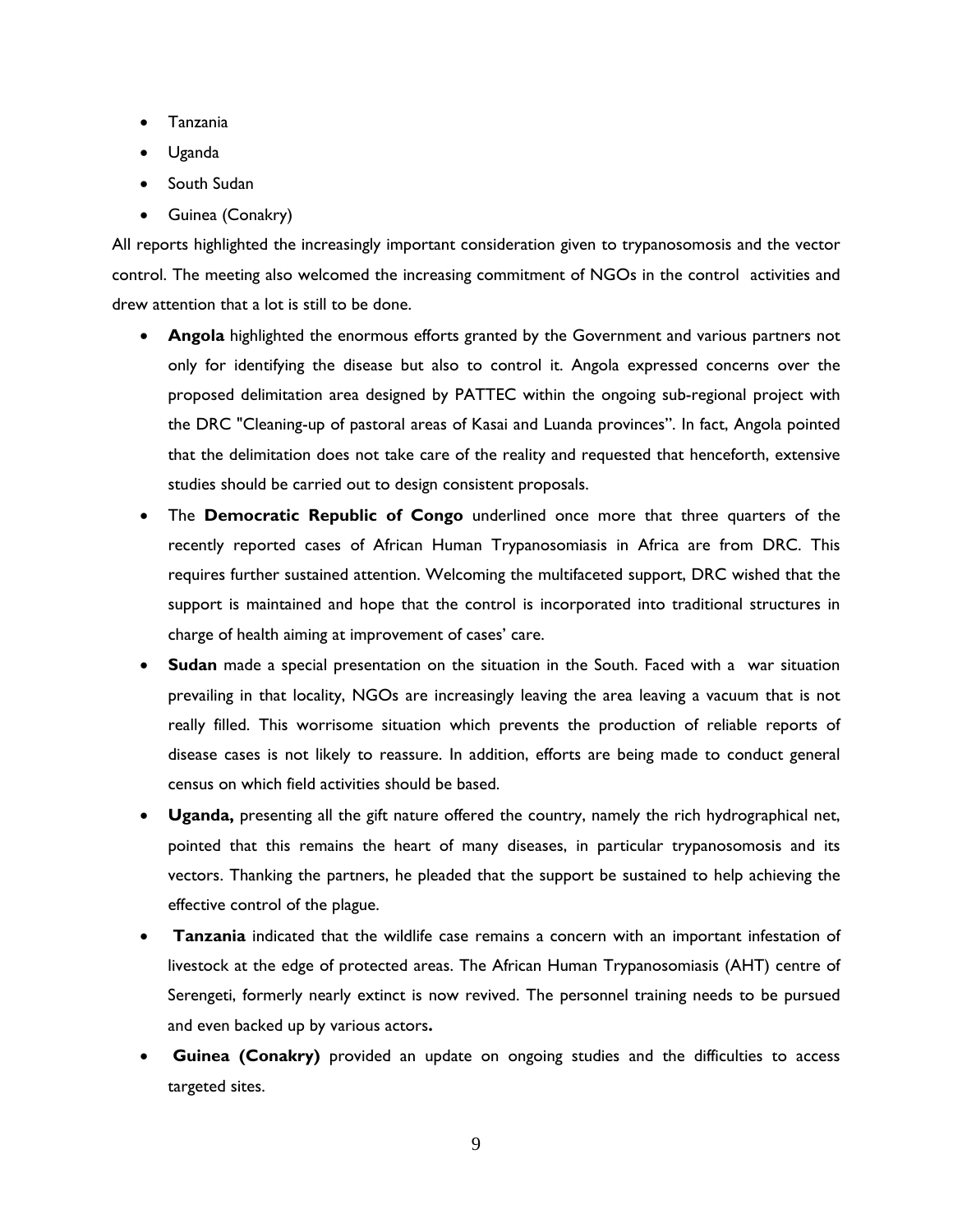- Tanzania
- Uganda
- South Sudan
- Guinea (Conakry)

All reports highlighted the increasingly important consideration given to trypanosomosis and the vector control. The meeting also welcomed the increasing commitment of NGOs in the control activities and drew attention that a lot is still to be done.

- **Angola** highlighted the enormous efforts granted by the Government and various partners not only for identifying the disease but also to control it. Angola expressed concerns over the proposed delimitation area designed by PATTEC within the ongoing sub-regional project with the DRC "Cleaning-up of pastoral areas of Kasai and Luanda provinces". In fact, Angola pointed that the delimitation does not take care of the reality and requested that henceforth, extensive studies should be carried out to design consistent proposals.
- The **Democratic Republic of Congo** underlined once more that three quarters of the recently reported cases of African Human Trypanosomiasis in Africa are from DRC. This requires further sustained attention. Welcoming the multifaceted support, DRC wished that the support is maintained and hope that the control is incorporated into traditional structures in charge of health aiming at improvement of cases' care.
- **Sudan** made a special presentation on the situation in the South. Faced with a war situation prevailing in that locality, NGOs are increasingly leaving the area leaving a vacuum that is not really filled. This worrisome situation which prevents the production of reliable reports of disease cases is not likely to reassure. In addition, efforts are being made to conduct general census on which field activities should be based.
- **Uganda,** presenting all the gift nature offered the country, namely the rich hydrographical net, pointed that this remains the heart of many diseases, in particular trypanosomosis and its vectors. Thanking the partners, he pleaded that the support be sustained to help achieving the effective control of the plague.
- • **Tanzania** indicated that the wildlife case remains a concern with an important infestation of livestock at the edge of protected areas. The African Human Trypanosomiasis (AHT) centre of Serengeti, formerly nearly extinct is now revived. The personnel training needs to be pursued and even backed up by various actors**.**
- **Guinea (Conakry)** provided an update on ongoing studies and the difficulties to access targeted sites.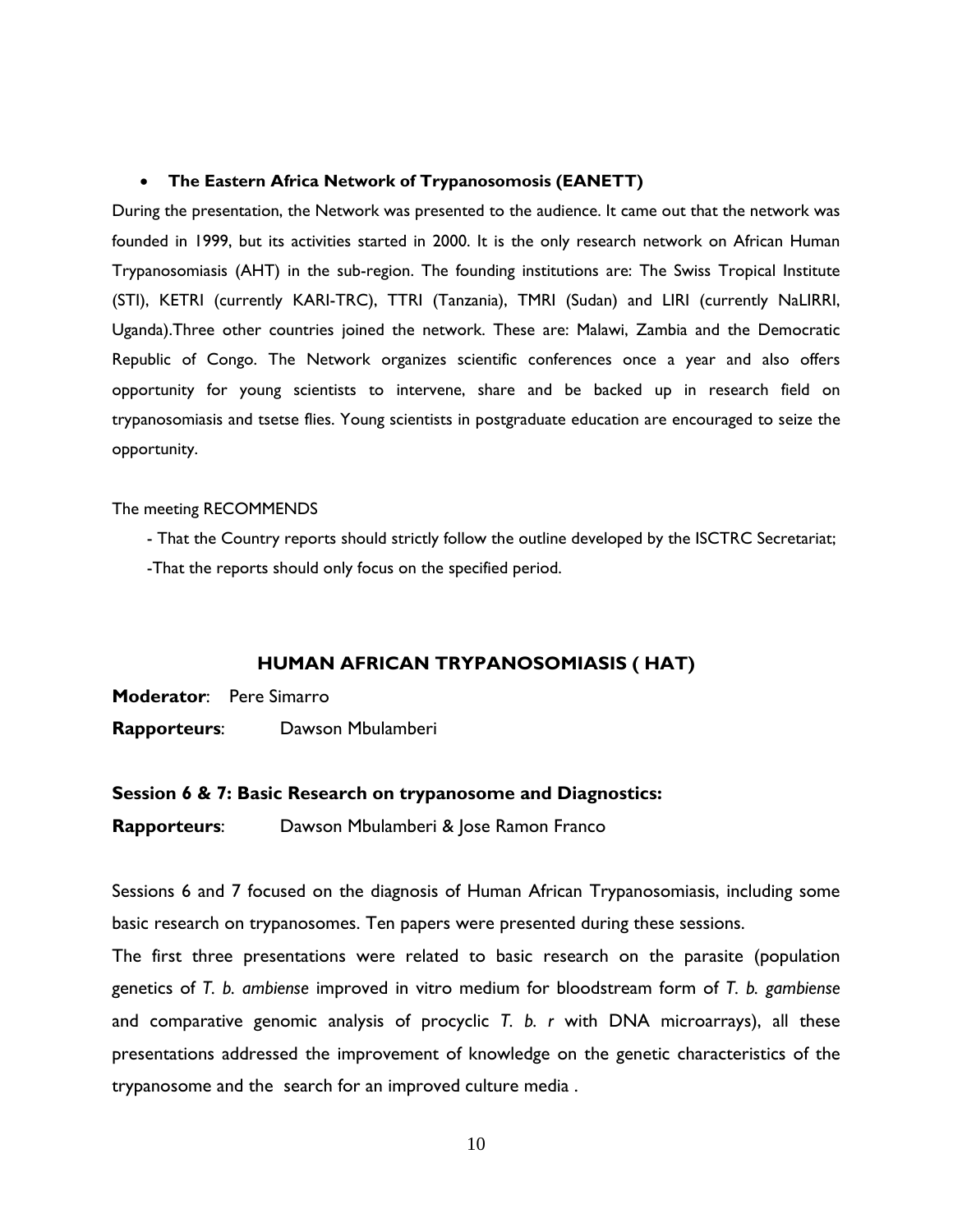#### • **The Eastern Africa Network of Trypanosomosis (EANETT)**

During the presentation, the Network was presented to the audience. It came out that the network was founded in 1999, but its activities started in 2000. It is the only research network on African Human Trypanosomiasis (AHT) in the sub-region. The founding institutions are: The Swiss Tropical Institute (STI), KETRI (currently KARI-TRC), TTRI (Tanzania), TMRI (Sudan) and LIRI (currently NaLIRRI, Uganda).Three other countries joined the network. These are: Malawi, Zambia and the Democratic Republic of Congo. The Network organizes scientific conferences once a year and also offers opportunity for young scientists to intervene, share and be backed up in research field on trypanosomiasis and tsetse flies. Young scientists in postgraduate education are encouraged to seize the opportunity.

#### The meeting RECOMMENDS

- That the Country reports should strictly follow the outline developed by the ISCTRC Secretariat; -That the reports should only focus on the specified period.

#### **HUMAN AFRICAN TRYPANOSOMIASIS ( HAT)**

**Moderator**: Pere Simarro

**Rapporteurs**: Dawson Mbulamberi

#### **Session 6 & 7: Basic Research on trypanosome and Diagnostics:**

**Rapporteurs**: Dawson Mbulamberi & Jose Ramon Franco

Sessions 6 and 7 focused on the diagnosis of Human African Trypanosomiasis, including some basic research on trypanosomes. Ten papers were presented during these sessions.

The first three presentations were related to basic research on the parasite (population genetics of *T. b. ambiense* improved in vitro medium for bloodstream form of *T. b. gambiense* and comparative genomic analysis of procyclic *T. b. r* with DNA microarrays), all these presentations addressed the improvement of knowledge on the genetic characteristics of the trypanosome and the search for an improved culture media .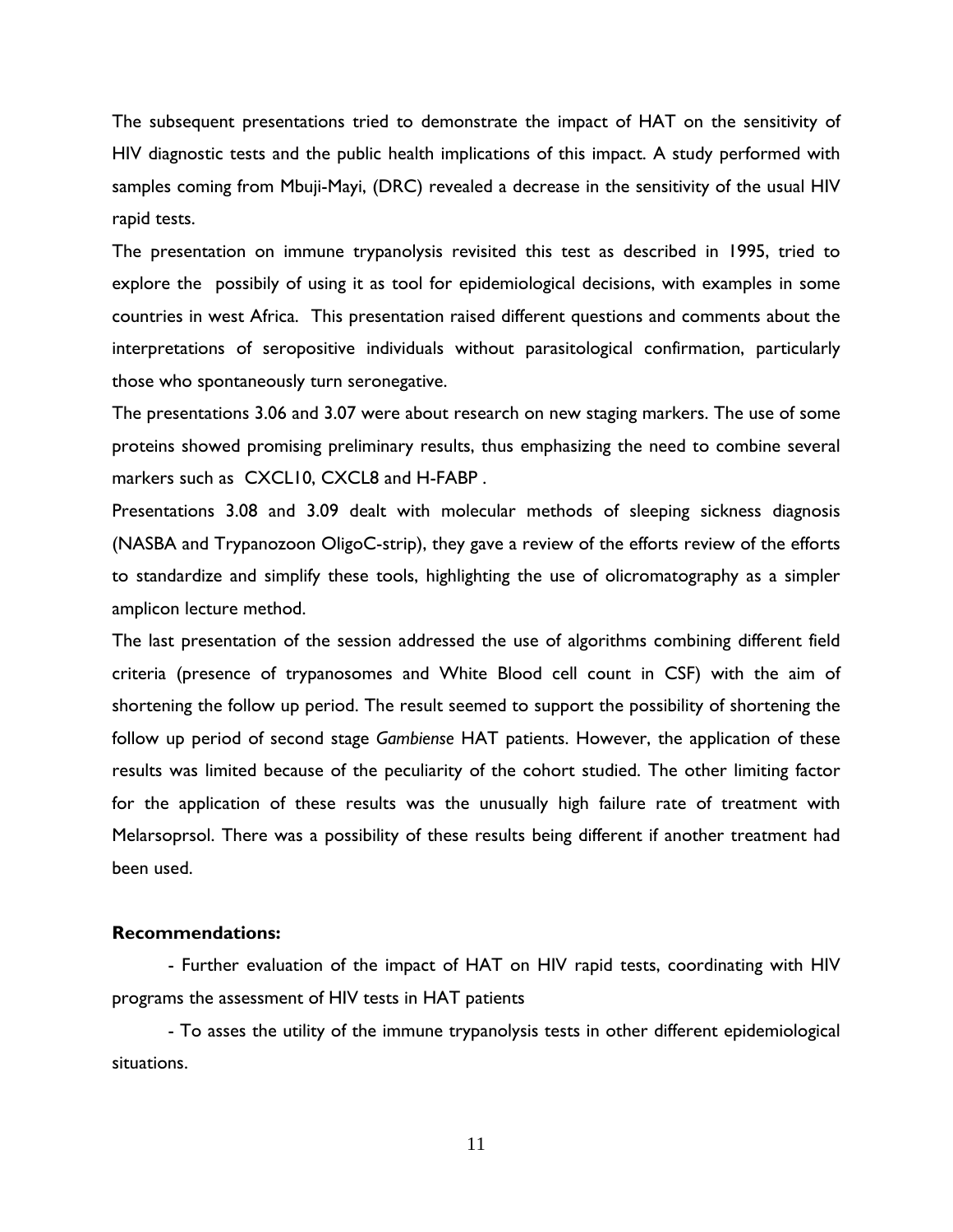The subsequent presentations tried to demonstrate the impact of HAT on the sensitivity of HIV diagnostic tests and the public health implications of this impact. A study performed with samples coming from Mbuji-Mayi, (DRC) revealed a decrease in the sensitivity of the usual HIV rapid tests.

The presentation on immune trypanolysis revisited this test as described in 1995, tried to explore the possibily of using it as tool for epidemiological decisions, with examples in some countries in west Africa. This presentation raised different questions and comments about the interpretations of seropositive individuals without parasitological confirmation, particularly those who spontaneously turn seronegative.

The presentations 3.06 and 3.07 were about research on new staging markers. The use of some proteins showed promising preliminary results, thus emphasizing the need to combine several markers such as CXCL10, CXCL8 and H-FABP.

Presentations 3.08 and 3.09 dealt with molecular methods of sleeping sickness diagnosis (NASBA and Trypanozoon OligoC-strip), they gave a review of the efforts review of the efforts to standardize and simplify these tools, highlighting the use of olicromatography as a simpler amplicon lecture method.

The last presentation of the session addressed the use of algorithms combining different field criteria (presence of trypanosomes and White Blood cell count in CSF) with the aim of shortening the follow up period. The result seemed to support the possibility of shortening the follow up period of second stage *Gambiense* HAT patients. However, the application of these results was limited because of the peculiarity of the cohort studied. The other limiting factor for the application of these results was the unusually high failure rate of treatment with Melarsoprsol. There was a possibility of these results being different if another treatment had been used.

#### **Recommendations:**

 - Further evaluation of the impact of HAT on HIV rapid tests, coordinating with HIV programs the assessment of HIV tests in HAT patients

 - To asses the utility of the immune trypanolysis tests in other different epidemiological situations.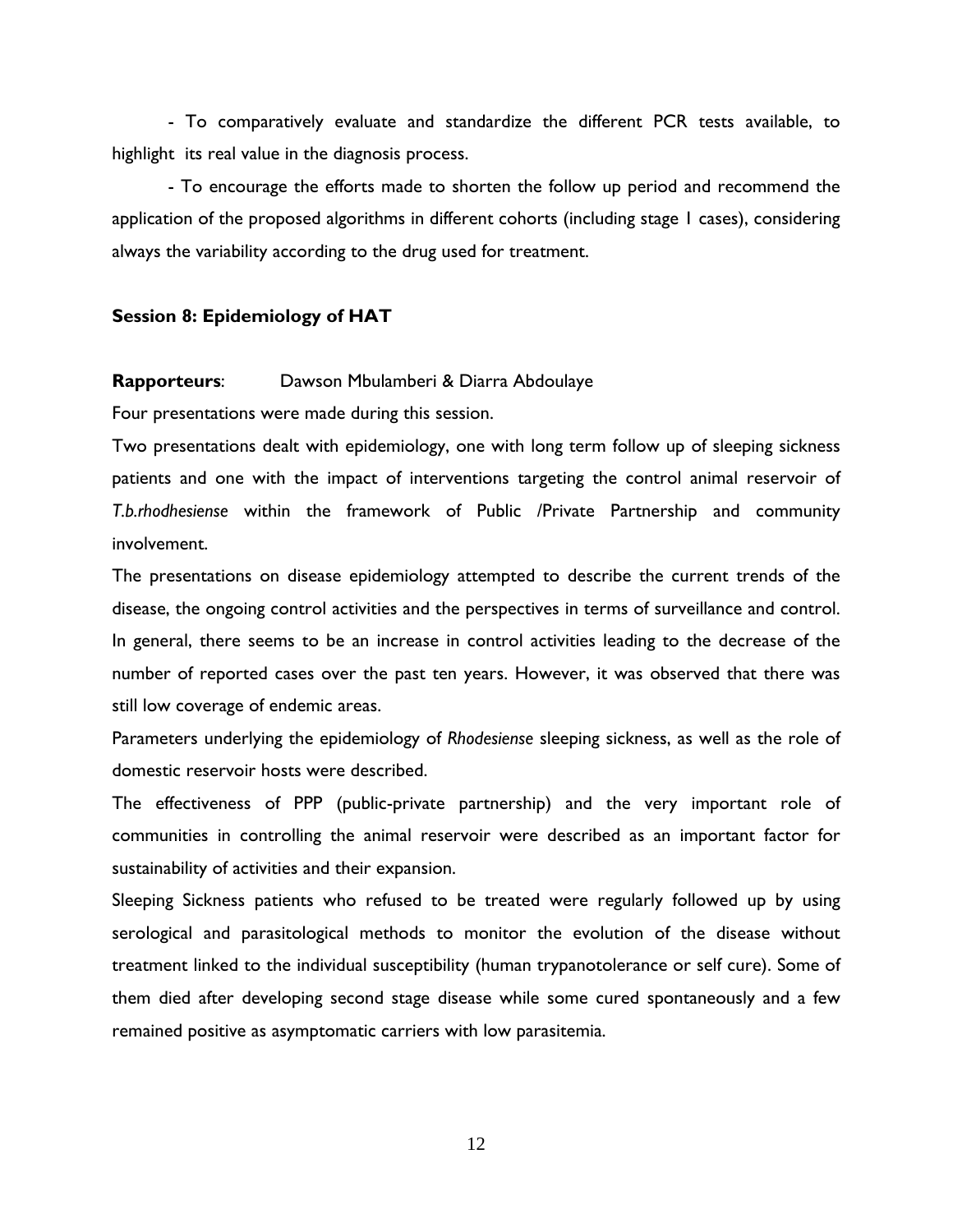- To comparatively evaluate and standardize the different PCR tests available, to highlight its real value in the diagnosis process.

- To encourage the efforts made to shorten the follow up period and recommend the application of the proposed algorithms in different cohorts (including stage 1 cases), considering always the variability according to the drug used for treatment.

#### **Session 8: Epidemiology of HAT**

#### **Rapporteurs**: Dawson Mbulamberi & Diarra Abdoulaye

Four presentations were made during this session.

Two presentations dealt with epidemiology, one with long term follow up of sleeping sickness patients and one with the impact of interventions targeting the control animal reservoir of *T.b.rhodhesiense* within the framework of Public /Private Partnership and community involvement.

The presentations on disease epidemiology attempted to describe the current trends of the disease, the ongoing control activities and the perspectives in terms of surveillance and control. In general, there seems to be an increase in control activities leading to the decrease of the number of reported cases over the past ten years. However, it was observed that there was still low coverage of endemic areas.

Parameters underlying the epidemiology of *Rhodesiense* sleeping sickness, as well as the role of domestic reservoir hosts were described.

The effectiveness of PPP (public-private partnership) and the very important role of communities in controlling the animal reservoir were described as an important factor for sustainability of activities and their expansion.

Sleeping Sickness patients who refused to be treated were regularly followed up by using serological and parasitological methods to monitor the evolution of the disease without treatment linked to the individual susceptibility (human trypanotolerance or self cure). Some of them died after developing second stage disease while some cured spontaneously and a few remained positive as asymptomatic carriers with low parasitemia.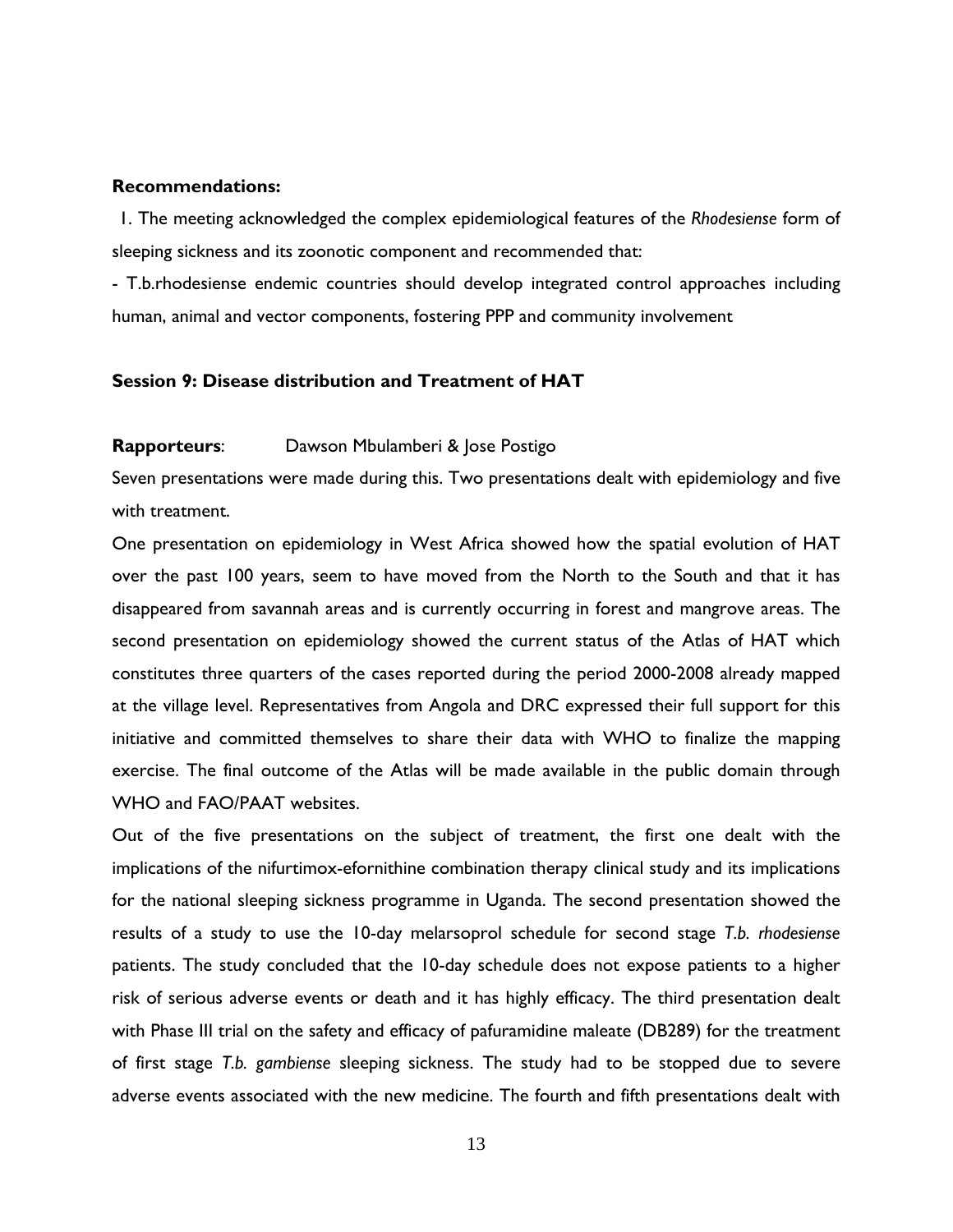#### **Recommendations:**

1. The meeting acknowledged the complex epidemiological features of the *Rhodesiense* form of sleeping sickness and its zoonotic component and recommended that:

- T.b.rhodesiense endemic countries should develop integrated control approaches including human, animal and vector components, fostering PPP and community involvement

## **Session 9: Disease distribution and Treatment of HAT**

#### **Rapporteurs**: Dawson Mbulamberi & Jose Postigo

Seven presentations were made during this. Two presentations dealt with epidemiology and five with treatment.

One presentation on epidemiology in West Africa showed how the spatial evolution of HAT over the past 100 years, seem to have moved from the North to the South and that it has disappeared from savannah areas and is currently occurring in forest and mangrove areas. The second presentation on epidemiology showed the current status of the Atlas of HAT which constitutes three quarters of the cases reported during the period 2000-2008 already mapped at the village level. Representatives from Angola and DRC expressed their full support for this initiative and committed themselves to share their data with WHO to finalize the mapping exercise. The final outcome of the Atlas will be made available in the public domain through WHO and FAO/PAAT websites.

Out of the five presentations on the subject of treatment, the first one dealt with the implications of the nifurtimox-efornithine combination therapy clinical study and its implications for the national sleeping sickness programme in Uganda. The second presentation showed the results of a study to use the 10-day melarsoprol schedule for second stage *T.b. rhodesiense* patients. The study concluded that the 10-day schedule does not expose patients to a higher risk of serious adverse events or death and it has highly efficacy. The third presentation dealt with Phase III trial on the safety and efficacy of pafuramidine maleate (DB289) for the treatment of first stage *T.b. gambiense* sleeping sickness. The study had to be stopped due to severe adverse events associated with the new medicine. The fourth and fifth presentations dealt with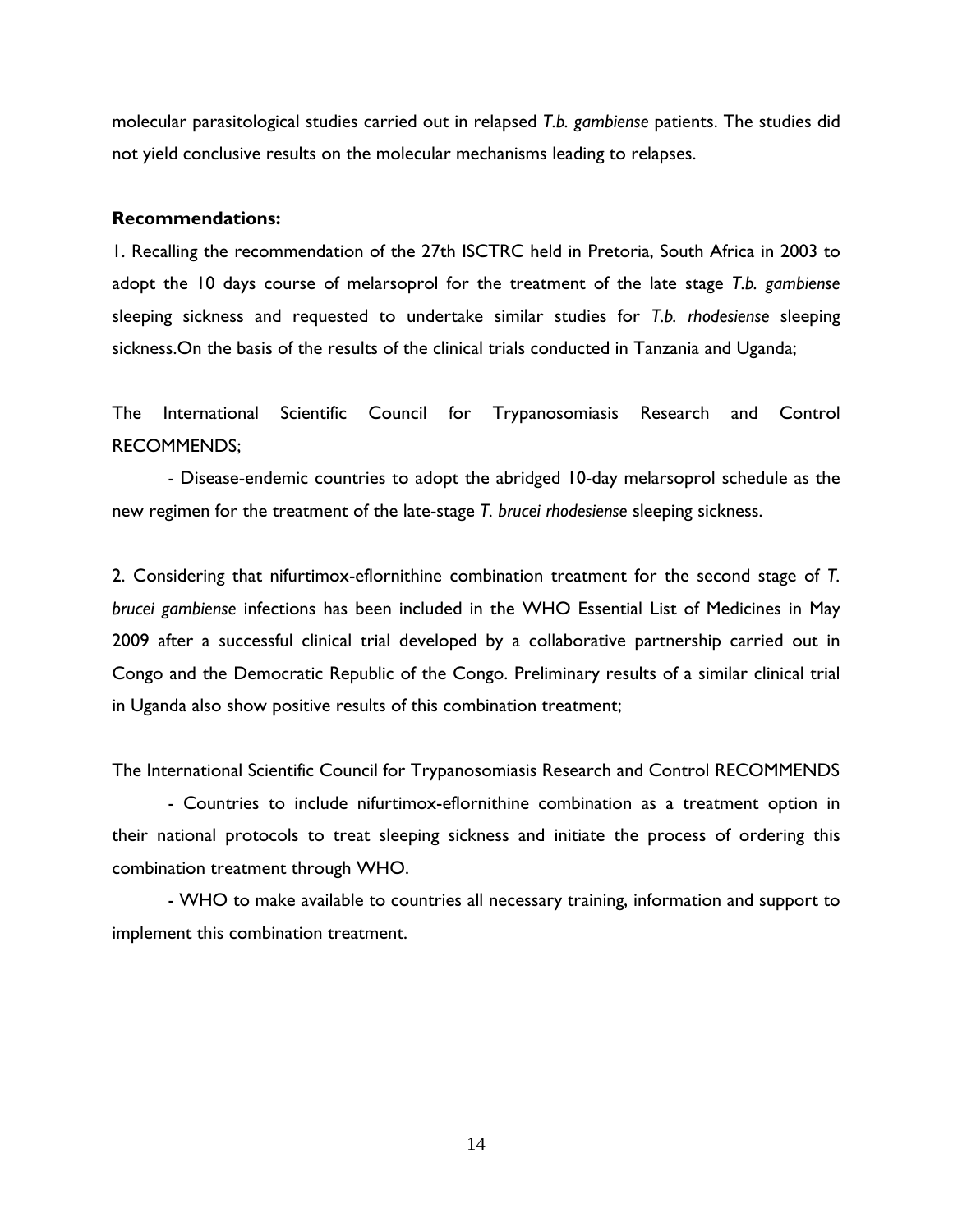molecular parasitological studies carried out in relapsed *T.b. gambiense* patients. The studies did not yield conclusive results on the molecular mechanisms leading to relapses.

#### **Recommendations:**

1. Recalling the recommendation of the 27th ISCTRC held in Pretoria, South Africa in 2003 to adopt the 10 days course of melarsoprol for the treatment of the late stage *T.b. gambiense* sleeping sickness and requested to undertake similar studies for *T.b. rhodesiense* sleeping sickness.On the basis of the results of the clinical trials conducted in Tanzania and Uganda;

The International Scientific Council for Trypanosomiasis Research and Control RECOMMENDS;

- Disease-endemic countries to adopt the abridged 10-day melarsoprol schedule as the new regimen for the treatment of the late-stage *T. brucei rhodesiense* sleeping sickness.

2. Considering that nifurtimox-eflornithine combination treatment for the second stage of *T. brucei gambiense* infections has been included in the WHO Essential List of Medicines in May 2009 after a successful clinical trial developed by a collaborative partnership carried out in Congo and the Democratic Republic of the Congo. Preliminary results of a similar clinical trial in Uganda also show positive results of this combination treatment;

The International Scientific Council for Trypanosomiasis Research and Control RECOMMENDS

- Countries to include nifurtimox-eflornithine combination as a treatment option in their national protocols to treat sleeping sickness and initiate the process of ordering this combination treatment through WHO.

- WHO to make available to countries all necessary training, information and support to implement this combination treatment.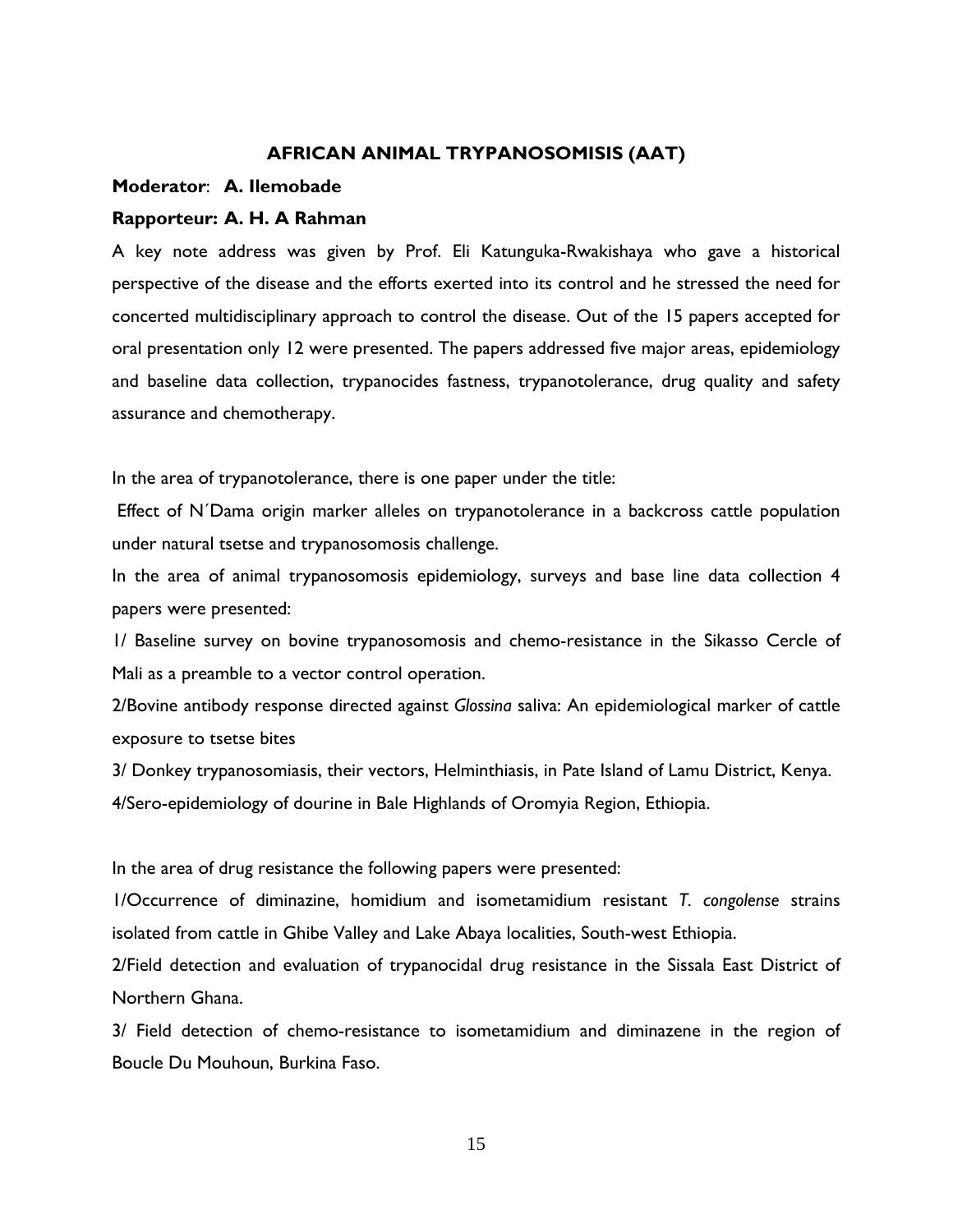#### **AFRICAN ANIMAL TRYPANOSOMISIS (AAT)**

#### **Moderator**: **A. Ilemobade**

#### **Rapporteur: A. H. A Rahman**

A key note address was given by Prof. Eli Katunguka-Rwakishaya who gave a historical perspective of the disease and the efforts exerted into its control and he stressed the need for concerted multidisciplinary approach to control the disease. Out of the 15 papers accepted for oral presentation only 12 were presented. The papers addressed five major areas, epidemiology and baseline data collection, trypanocides fastness, trypanotolerance, drug quality and safety assurance and chemotherapy.

In the area of trypanotolerance, there is one paper under the title:

 Effect of N´Dama origin marker alleles on trypanotolerance in a backcross cattle population under natural tsetse and trypanosomosis challenge.

In the area of animal trypanosomosis epidemiology, surveys and base line data collection 4 papers were presented:

1/ Baseline survey on bovine trypanosomosis and chemo-resistance in the Sikasso Cercle of Mali as a preamble to a vector control operation.

2/Bovine antibody response directed against *Glossina* saliva: An epidemiological marker of cattle exposure to tsetse bites

3/ Donkey trypanosomiasis, their vectors, Helminthiasis, in Pate Island of Lamu District, Kenya. 4/Sero-epidemiology of dourine in Bale Highlands of Oromyia Region, Ethiopia.

In the area of drug resistance the following papers were presented:

1/Occurrence of diminazine, homidium and isometamidium resistant *T. congolense* strains isolated from cattle in Ghibe Valley and Lake Abaya localities, South-west Ethiopia.

2/Field detection and evaluation of trypanocidal drug resistance in the Sissala East District of Northern Ghana.

3/ Field detection of chemo-resistance to isometamidium and diminazene in the region of Boucle Du Mouhoun, Burkina Faso.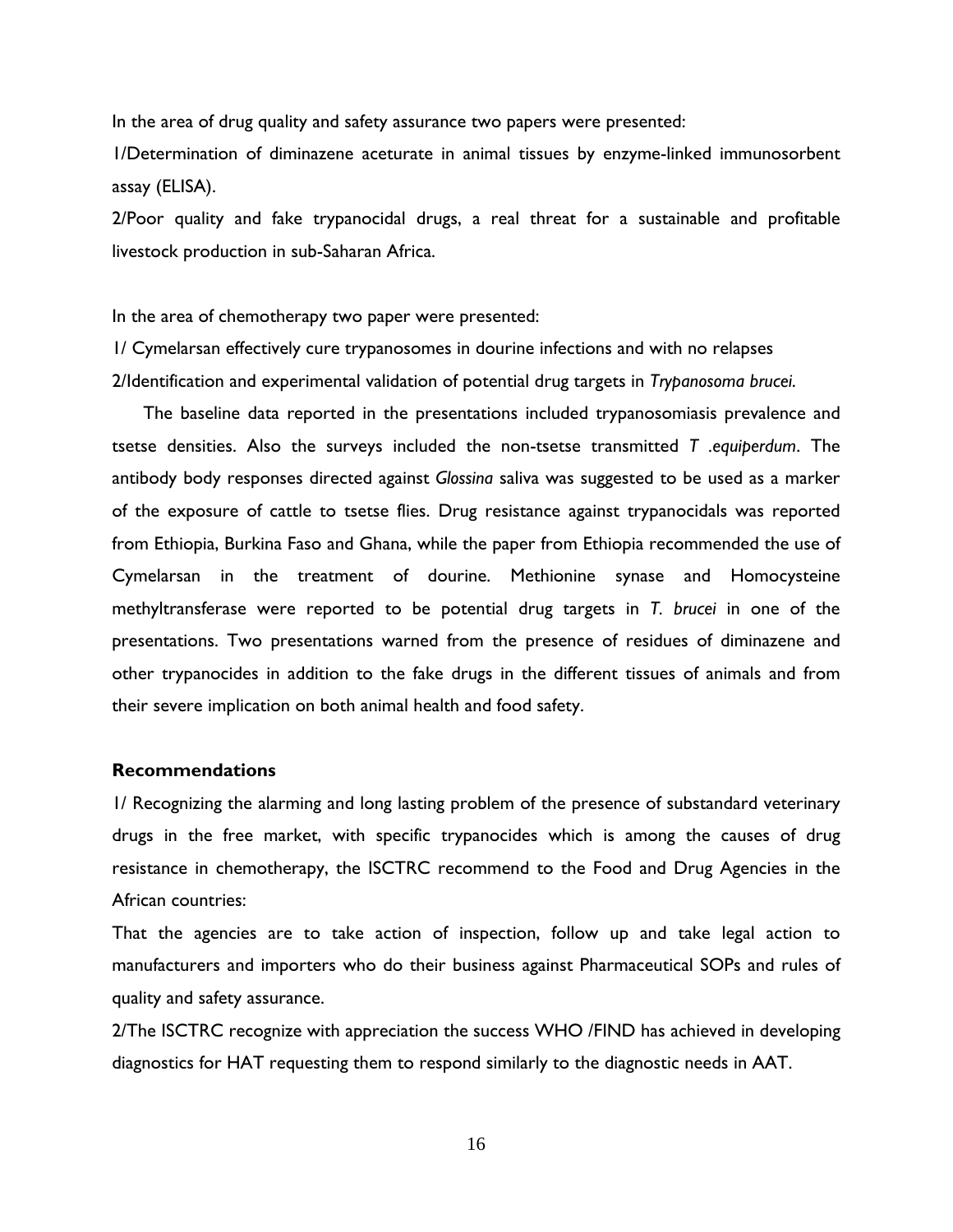In the area of drug quality and safety assurance two papers were presented:

1/Determination of diminazene aceturate in animal tissues by enzyme-linked immunosorbent assay (ELISA).

2/Poor quality and fake trypanocidal drugs, a real threat for a sustainable and profitable livestock production in sub-Saharan Africa.

In the area of chemotherapy two paper were presented:

1/ Cymelarsan effectively cure trypanosomes in dourine infections and with no relapses 2/Identification and experimental validation of potential drug targets in *Trypanosoma brucei*.

 The baseline data reported in the presentations included trypanosomiasis prevalence and tsetse densities. Also the surveys included the non-tsetse transmitted *T .equiperdum*. The antibody body responses directed against *Glossina* saliva was suggested to be used as a marker of the exposure of cattle to tsetse flies. Drug resistance against trypanocidals was reported from Ethiopia, Burkina Faso and Ghana, while the paper from Ethiopia recommended the use of Cymelarsan in the treatment of dourine. Methionine synase and Homocysteine methyltransferase were reported to be potential drug targets in *T. brucei* in one of the presentations. Two presentations warned from the presence of residues of diminazene and other trypanocides in addition to the fake drugs in the different tissues of animals and from their severe implication on both animal health and food safety.

#### **Recommendations**

1/ Recognizing the alarming and long lasting problem of the presence of substandard veterinary drugs in the free market, with specific trypanocides which is among the causes of drug resistance in chemotherapy, the ISCTRC recommend to the Food and Drug Agencies in the African countries:

That the agencies are to take action of inspection, follow up and take legal action to manufacturers and importers who do their business against Pharmaceutical SOPs and rules of quality and safety assurance.

2/The ISCTRC recognize with appreciation the success WHO /FIND has achieved in developing diagnostics for HAT requesting them to respond similarly to the diagnostic needs in AAT.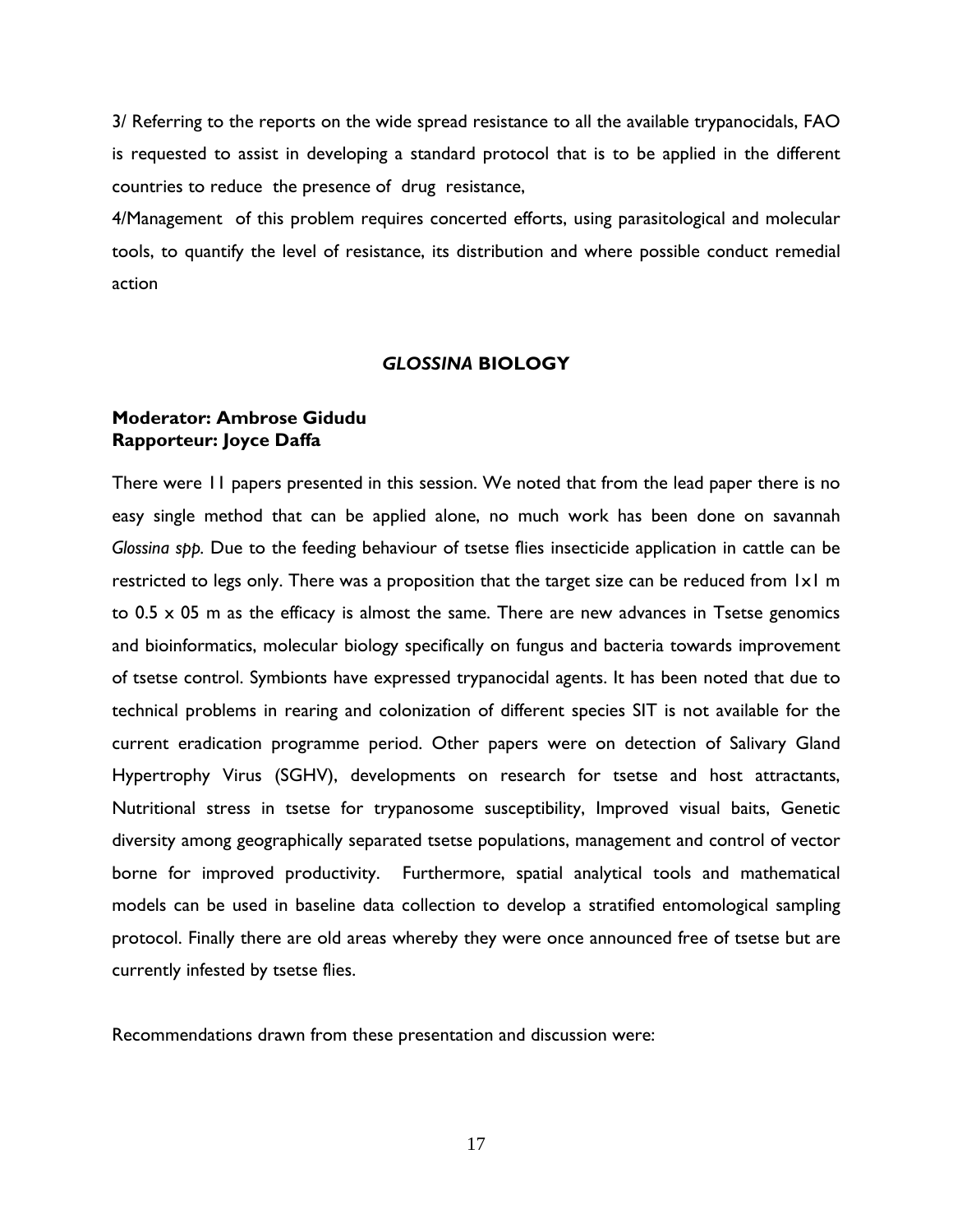3/ Referring to the reports on the wide spread resistance to all the available trypanocidals, FAO is requested to assist in developing a standard protocol that is to be applied in the different countries to reduce the presence of drug resistance,

4/Management of this problem requires concerted efforts, using parasitological and molecular tools, to quantify the level of resistance, its distribution and where possible conduct remedial action

## *GLOSSINA* **BIOLOGY**

## **Moderator: Ambrose Gidudu Rapporteur: Joyce Daffa**

There were 11 papers presented in this session. We noted that from the lead paper there is no easy single method that can be applied alone, no much work has been done on savannah *Glossina spp.* Due to the feeding behaviour of tsetse flies insecticide application in cattle can be restricted to legs only. There was a proposition that the target size can be reduced from 1x1 m to  $0.5 \times 05$  m as the efficacy is almost the same. There are new advances in Tsetse genomics and bioinformatics, molecular biology specifically on fungus and bacteria towards improvement of tsetse control. Symbionts have expressed trypanocidal agents. It has been noted that due to technical problems in rearing and colonization of different species SIT is not available for the current eradication programme period. Other papers were on detection of Salivary Gland Hypertrophy Virus (SGHV), developments on research for tsetse and host attractants, Nutritional stress in tsetse for trypanosome susceptibility, Improved visual baits, Genetic diversity among geographically separated tsetse populations, management and control of vector borne for improved productivity. Furthermore, spatial analytical tools and mathematical models can be used in baseline data collection to develop a stratified entomological sampling protocol. Finally there are old areas whereby they were once announced free of tsetse but are currently infested by tsetse flies.

Recommendations drawn from these presentation and discussion were: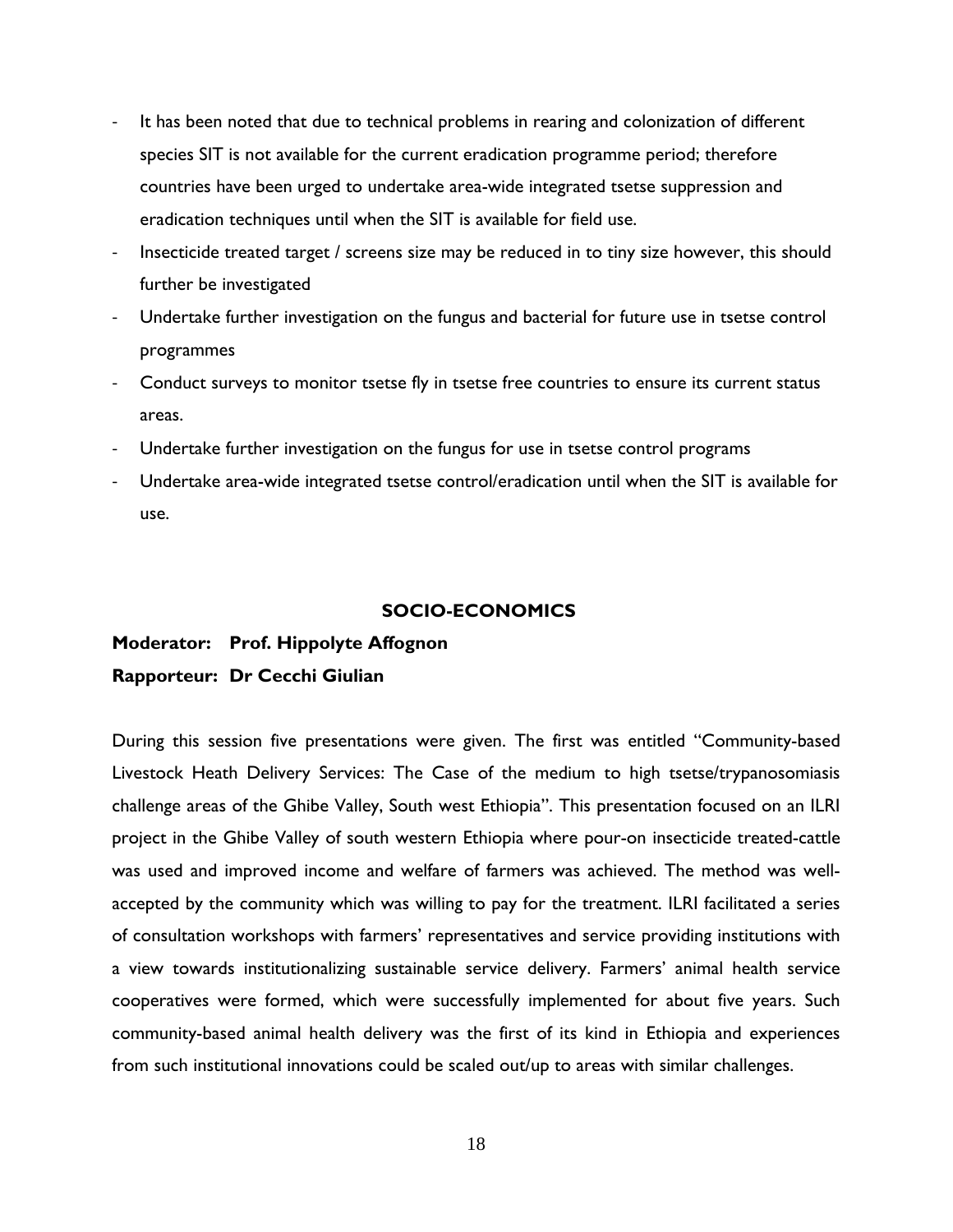- ‐ It has been noted that due to technical problems in rearing and colonization of different species SIT is not available for the current eradication programme period; therefore countries have been urged to undertake area-wide integrated tsetse suppression and eradication techniques until when the SIT is available for field use.
- Insecticide treated target / screens size may be reduced in to tiny size however, this should further be investigated
- Undertake further investigation on the fungus and bacterial for future use in tsetse control programmes
- ‐ Conduct surveys to monitor tsetse fly in tsetse free countries to ensure its current status areas.
- ‐ Undertake further investigation on the fungus for use in tsetse control programs
- ‐ Undertake area-wide integrated tsetse control/eradication until when the SIT is available for use.

## **SOCIO-ECONOMICS**

# **Moderator: Prof. Hippolyte Affognon Rapporteur: Dr Cecchi Giulian**

During this session five presentations were given. The first was entitled "Community-based Livestock Heath Delivery Services: The Case of the medium to high tsetse/trypanosomiasis challenge areas of the Ghibe Valley, South west Ethiopia". This presentation focused on an ILRI project in the Ghibe Valley of south western Ethiopia where pour-on insecticide treated-cattle was used and improved income and welfare of farmers was achieved. The method was wellaccepted by the community which was willing to pay for the treatment. ILRI facilitated a series of consultation workshops with farmers' representatives and service providing institutions with a view towards institutionalizing sustainable service delivery. Farmers' animal health service cooperatives were formed, which were successfully implemented for about five years. Such community-based animal health delivery was the first of its kind in Ethiopia and experiences from such institutional innovations could be scaled out/up to areas with similar challenges.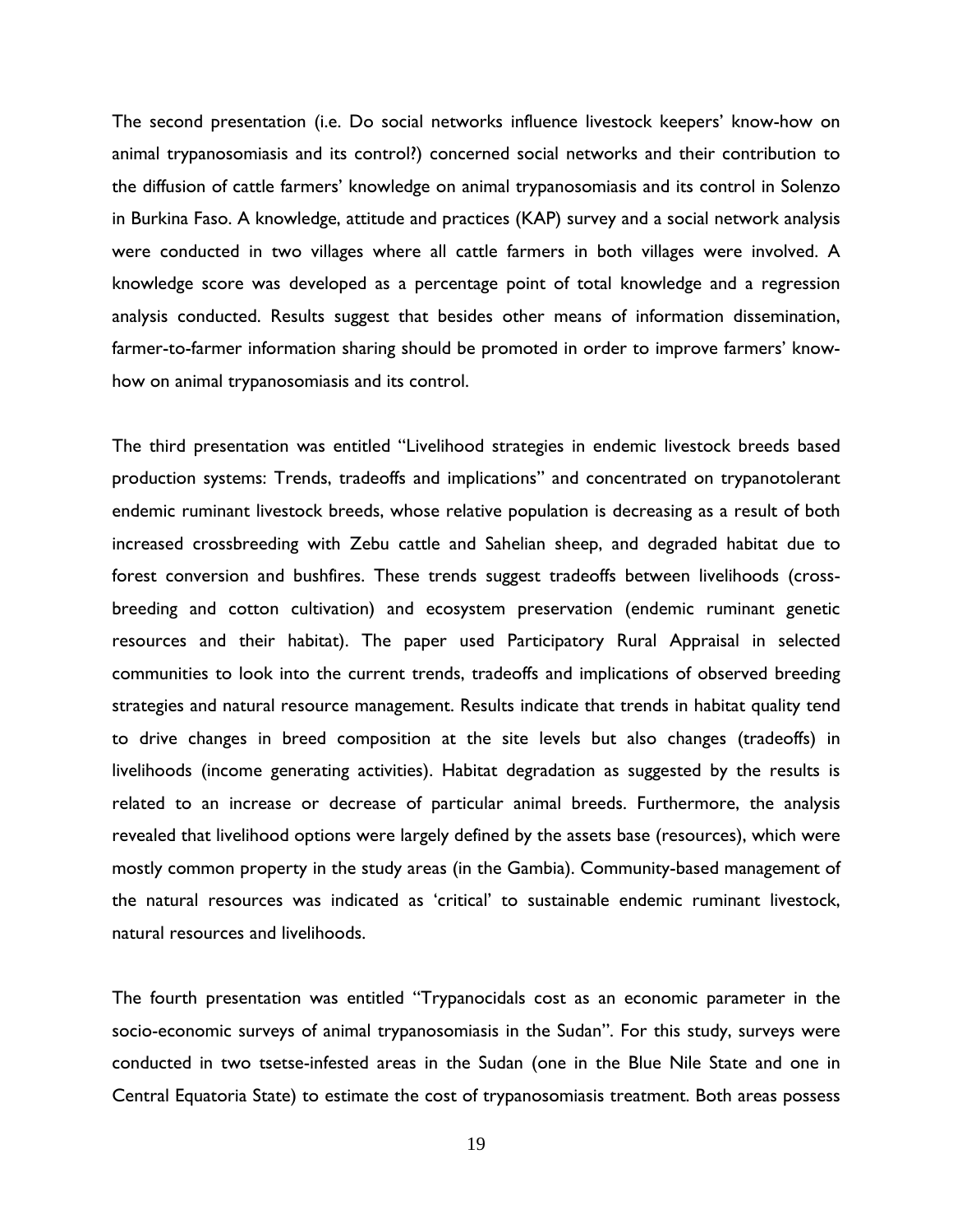The second presentation (i.e. Do social networks influence livestock keepers' know-how on animal trypanosomiasis and its control?) concerned social networks and their contribution to the diffusion of cattle farmers' knowledge on animal trypanosomiasis and its control in Solenzo in Burkina Faso. A knowledge, attitude and practices (KAP) survey and a social network analysis were conducted in two villages where all cattle farmers in both villages were involved. A knowledge score was developed as a percentage point of total knowledge and a regression analysis conducted. Results suggest that besides other means of information dissemination, farmer-to-farmer information sharing should be promoted in order to improve farmers' knowhow on animal trypanosomiasis and its control.

The third presentation was entitled "Livelihood strategies in endemic livestock breeds based production systems: Trends, tradeoffs and implications" and concentrated on trypanotolerant endemic ruminant livestock breeds, whose relative population is decreasing as a result of both increased crossbreeding with Zebu cattle and Sahelian sheep, and degraded habitat due to forest conversion and bushfires. These trends suggest tradeoffs between livelihoods (crossbreeding and cotton cultivation) and ecosystem preservation (endemic ruminant genetic resources and their habitat). The paper used Participatory Rural Appraisal in selected communities to look into the current trends, tradeoffs and implications of observed breeding strategies and natural resource management. Results indicate that trends in habitat quality tend to drive changes in breed composition at the site levels but also changes (tradeoffs) in livelihoods (income generating activities). Habitat degradation as suggested by the results is related to an increase or decrease of particular animal breeds. Furthermore, the analysis revealed that livelihood options were largely defined by the assets base (resources), which were mostly common property in the study areas (in the Gambia). Community-based management of the natural resources was indicated as 'critical' to sustainable endemic ruminant livestock, natural resources and livelihoods.

The fourth presentation was entitled "Trypanocidals cost as an economic parameter in the socio-economic surveys of animal trypanosomiasis in the Sudan". For this study, surveys were conducted in two tsetse-infested areas in the Sudan (one in the Blue Nile State and one in Central Equatoria State) to estimate the cost of trypanosomiasis treatment. Both areas possess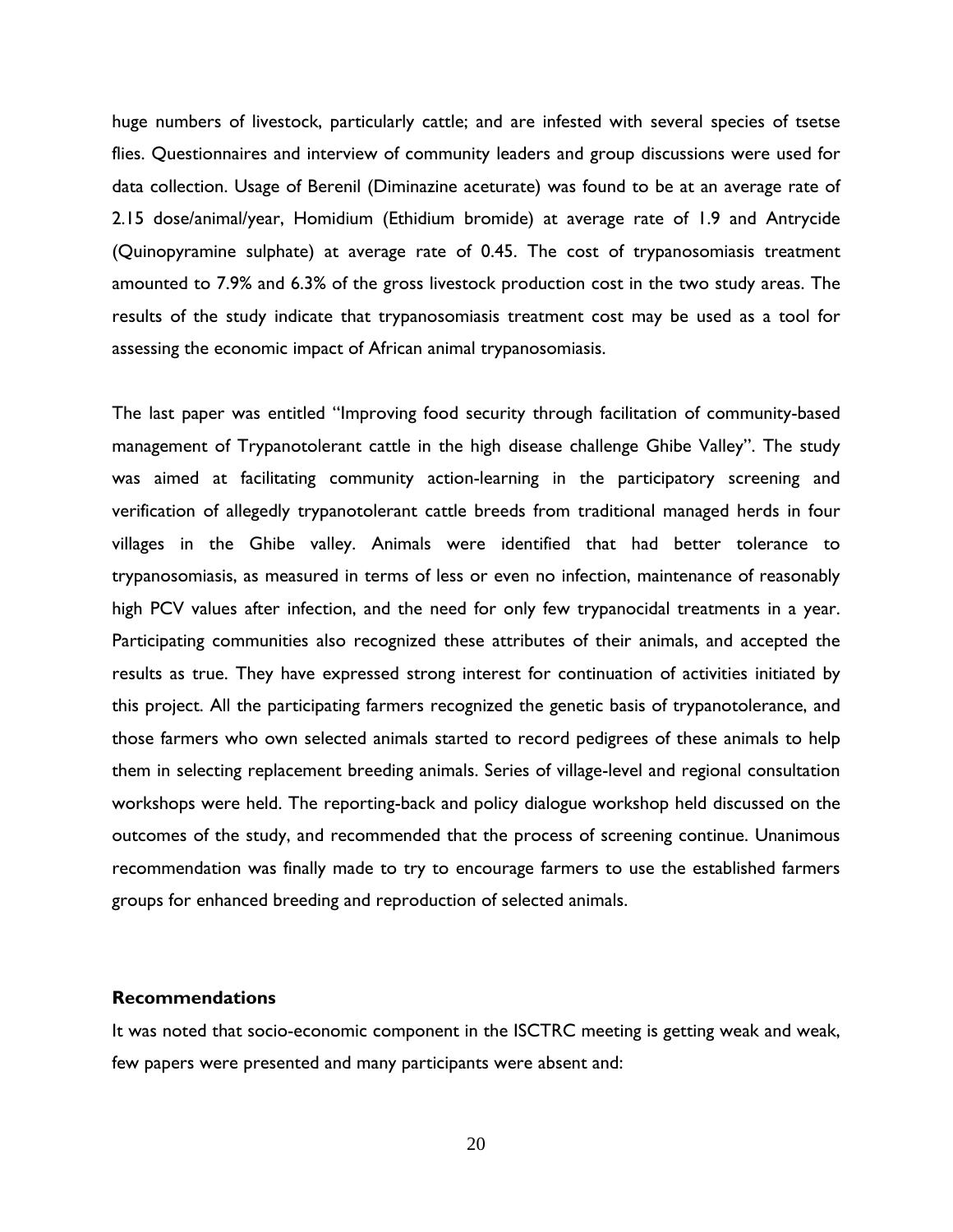huge numbers of livestock, particularly cattle; and are infested with several species of tsetse flies. Questionnaires and interview of community leaders and group discussions were used for data collection. Usage of Berenil (Diminazine aceturate) was found to be at an average rate of 2.15 dose/animal/year, Homidium (Ethidium bromide) at average rate of 1.9 and Antrycide (Quinopyramine sulphate) at average rate of 0.45. The cost of trypanosomiasis treatment amounted to 7.9% and 6.3% of the gross livestock production cost in the two study areas. The results of the study indicate that trypanosomiasis treatment cost may be used as a tool for assessing the economic impact of African animal trypanosomiasis.

The last paper was entitled "Improving food security through facilitation of community-based management of Trypanotolerant cattle in the high disease challenge Ghibe Valley". The study was aimed at facilitating community action-learning in the participatory screening and verification of allegedly trypanotolerant cattle breeds from traditional managed herds in four villages in the Ghibe valley. Animals were identified that had better tolerance to trypanosomiasis, as measured in terms of less or even no infection, maintenance of reasonably high PCV values after infection, and the need for only few trypanocidal treatments in a year. Participating communities also recognized these attributes of their animals, and accepted the results as true. They have expressed strong interest for continuation of activities initiated by this project. All the participating farmers recognized the genetic basis of trypanotolerance, and those farmers who own selected animals started to record pedigrees of these animals to help them in selecting replacement breeding animals. Series of village-level and regional consultation workshops were held. The reporting-back and policy dialogue workshop held discussed on the outcomes of the study, and recommended that the process of screening continue. Unanimous recommendation was finally made to try to encourage farmers to use the established farmers groups for enhanced breeding and reproduction of selected animals.

#### **Recommendations**

It was noted that socio-economic component in the ISCTRC meeting is getting weak and weak, few papers were presented and many participants were absent and: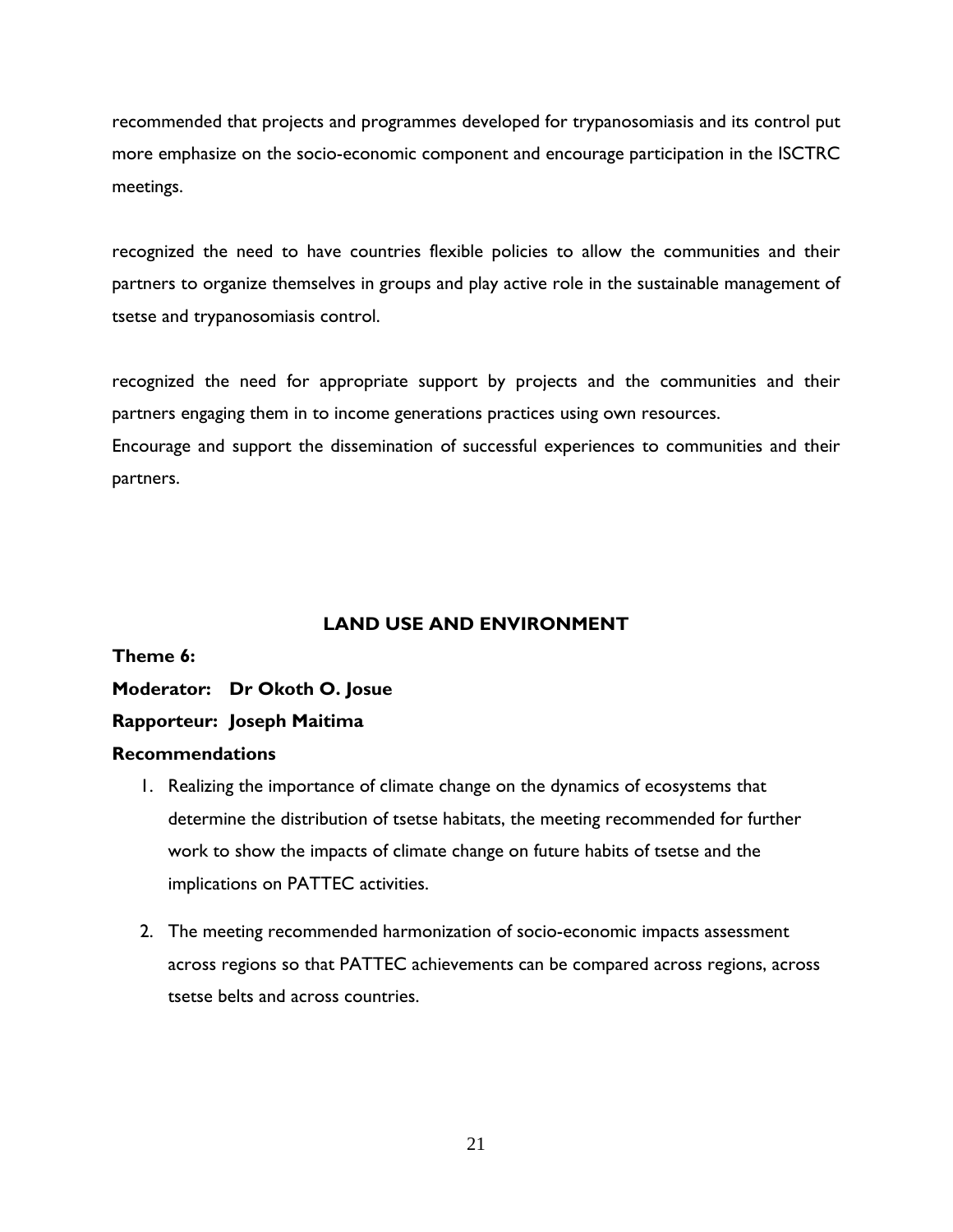recommended that projects and programmes developed for trypanosomiasis and its control put more emphasize on the socio-economic component and encourage participation in the ISCTRC meetings.

recognized the need to have countries flexible policies to allow the communities and their partners to organize themselves in groups and play active role in the sustainable management of tsetse and trypanosomiasis control.

recognized the need for appropriate support by projects and the communities and their partners engaging them in to income generations practices using own resources.

Encourage and support the dissemination of successful experiences to communities and their partners.

# **LAND USE AND ENVIRONMENT**

**Theme 6:** 

**Moderator: Dr Okoth O. Josue** 

# **Rapporteur: Joseph Maitima**

## **Recommendations**

- 1. Realizing the importance of climate change on the dynamics of ecosystems that determine the distribution of tsetse habitats, the meeting recommended for further work to show the impacts of climate change on future habits of tsetse and the implications on PATTEC activities.
- 2. The meeting recommended harmonization of socio-economic impacts assessment across regions so that PATTEC achievements can be compared across regions, across tsetse belts and across countries.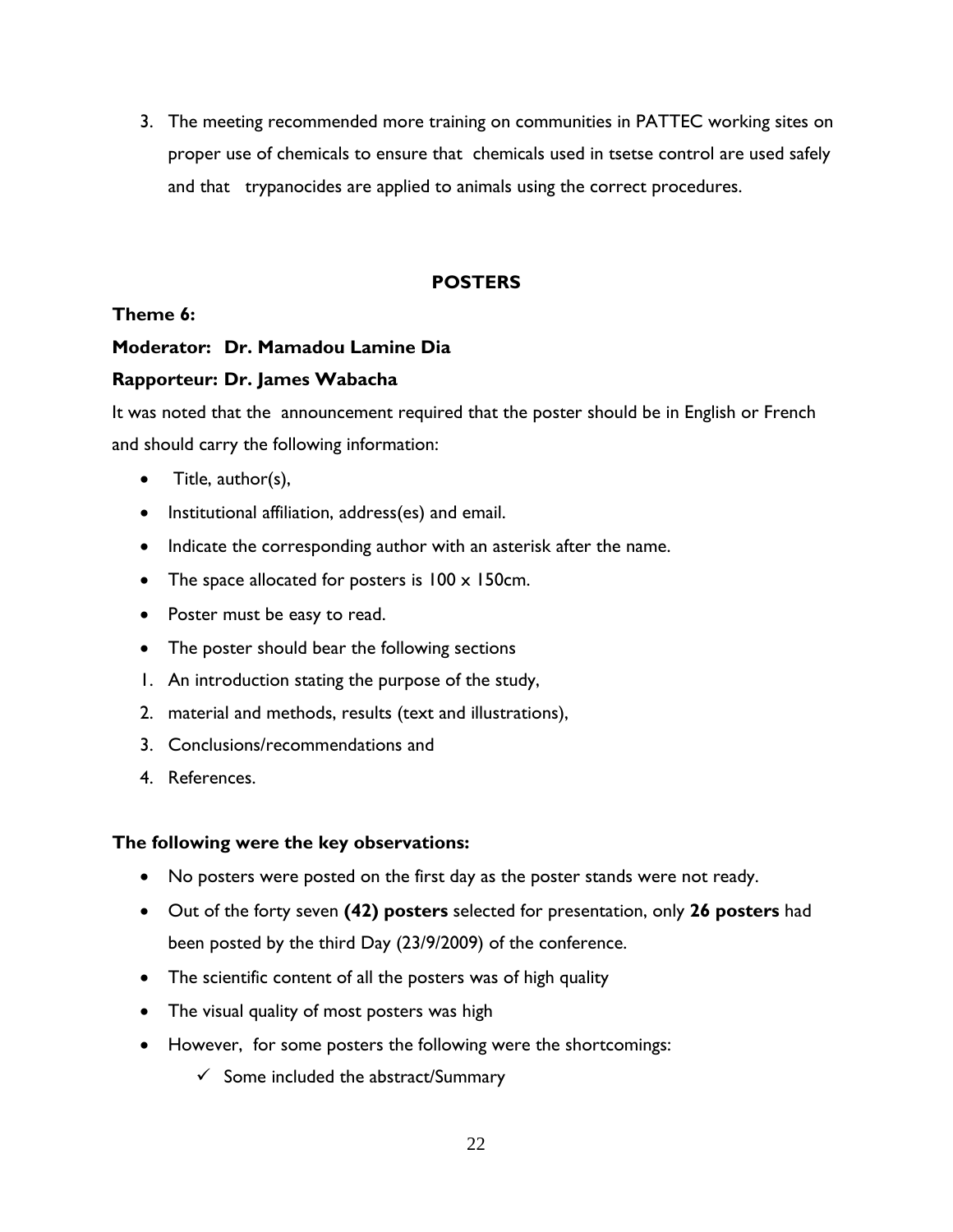3. The meeting recommended more training on communities in PATTEC working sites on proper use of chemicals to ensure that chemicals used in tsetse control are used safely and that trypanocides are applied to animals using the correct procedures.

# **POSTERS**

## **Theme 6:**

## **Moderator: Dr. Mamadou Lamine Dia**

## **Rapporteur: Dr. James Wabacha**

It was noted that the announcement required that the poster should be in English or French and should carry the following information:

- Title, author(s),
- Institutional affiliation, address(es) and email.
- Indicate the corresponding author with an asterisk after the name.
- The space allocated for posters is  $100 \times 150$  cm.
- Poster must be easy to read.
- The poster should bear the following sections
- 1. An introduction stating the purpose of the study,
- 2. material and methods, results (text and illustrations),
- 3. Conclusions/recommendations and
- 4. References.

## **The following were the key observations:**

- No posters were posted on the first day as the poster stands were not ready.
- Out of the forty seven **(42) posters** selected for presentation, only **26 posters** had been posted by the third Day (23/9/2009) of the conference.
- The scientific content of all the posters was of high quality
- The visual quality of most posters was high
- However, for some posters the following were the shortcomings:
	- $\checkmark$  Some included the abstract/Summary